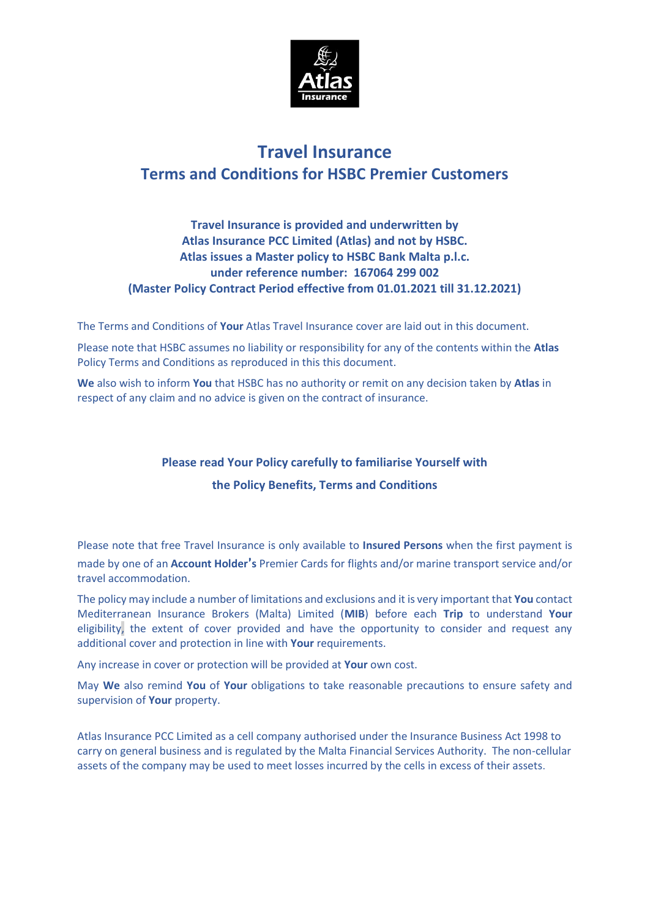

# **Travel Insurance Terms and Conditions for HSBC Premier Customers**

## **Travel Insurance is provided and underwritten by Atlas Insurance PCC Limited (Atlas) and not by HSBC. Atlas issues a Master policy to HSBC Bank Malta p.l.c. under reference number: 167064 299 002 (Master Policy Contract Period effective from 01.01.2021 till 31.12.2021)**

The Terms and Conditions of **Your** Atlas Travel Insurance cover are laid out in this document.

Please note that HSBC assumes no liability or responsibility for any of the contents within the **Atlas**  Policy Terms and Conditions as reproduced in this this document.

**We** also wish to inform **You** that HSBC has no authority or remit on any decision taken by **Atlas** in respect of any claim and no advice is given on the contract of insurance.

# **Please read Your Policy carefully to familiarise Yourself with the Policy Benefits, Terms and Conditions**

Please note that free Travel Insurance is only available to **Insured Persons** when the first payment is made by one of an **Account Holder**'**s** Premier Cards for flights and/or marine transport service and/or travel accommodation.

The policy may include a number of limitations and exclusions and it is very important that **You** contact Mediterranean Insurance Brokers (Malta) Limited (**MIB**) before each **Trip** to understand **Your**  eligibility, the extent of cover provided and have the opportunity to consider and request any additional cover and protection in line with **Your** requirements.

Any increase in cover or protection will be provided at **Your** own cost.

May **We** also remind **You** of **Your** obligations to take reasonable precautions to ensure safety and supervision of **Your** property.

Atlas Insurance PCC Limited as a cell company authorised under the Insurance Business Act 1998 to carry on general business and is regulated by the Malta Financial Services Authority. The non-cellular assets of the company may be used to meet losses incurred by the cells in excess of their assets.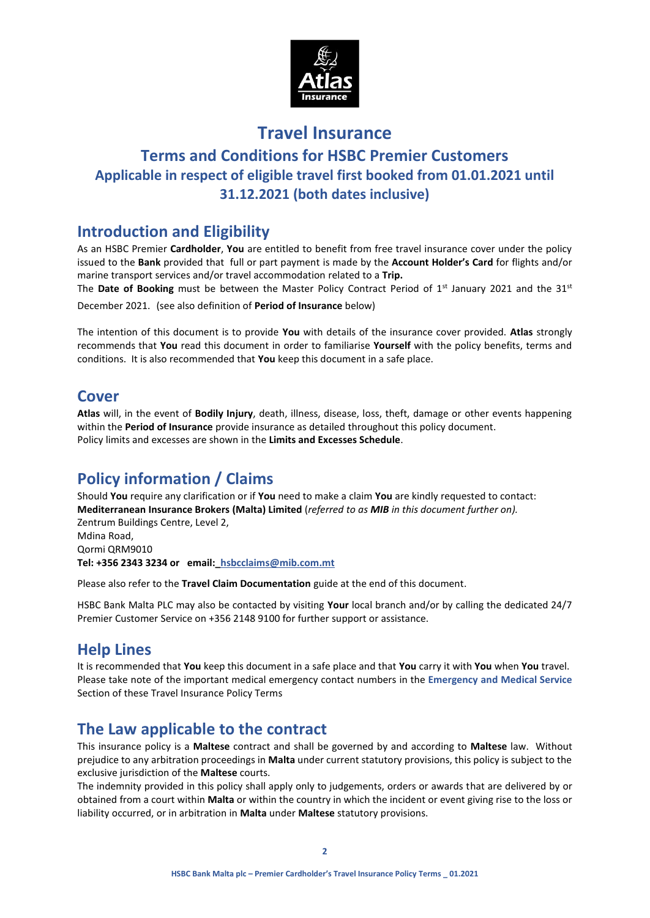

# **Travel Insurance Terms and Conditions for HSBC Premier Customers Applicable in respect of eligible travel first booked from 01.01.2021 until 31.12.2021 (both dates inclusive)**

# **Introduction and Eligibility**

As an HSBC Premier **Cardholder**, **You** are entitled to benefit from free travel insurance cover under the policy issued to the **Bank** provided that full or part payment is made by the **Account Holder's Card** for flights and/or marine transport services and/or travel accommodation related to a **Trip.**

The **Date of Booking** must be between the Master Policy Contract Period of 1<sup>st</sup> January 2021 and the 31<sup>st</sup> December 2021. (see also definition of **Period of Insurance** below)

The intention of this document is to provide **You** with details of the insurance cover provided. **Atlas** strongly recommends that **You** read this document in order to familiarise **Yourself** with the policy benefits, terms and conditions. It is also recommended that **You** keep this document in a safe place.

# **Cover**

**Atlas** will, in the event of **Bodily Injury**, death, illness, disease, loss, theft, damage or other events happening within the **Period of Insurance** provide insurance as detailed throughout this policy document. Policy limits and excesses are shown in the **Limits and Excesses Schedule**.

# **Policy information / Claims**

Should **You** require any clarification or if **You** need to make a claim **You** are kindly requested to contact: **Mediterranean Insurance Brokers (Malta) Limited** (*referred to as MIB in this document further on).* Zentrum Buildings Centre, Level 2, Mdina Road, Qormi QRM9010 **Tel: +356 2343 3234 or email:\_hsbcclaims@mib.com.mt**

Please also refer to the **Travel Claim Documentation** guide at the end of this document.

HSBC Bank Malta PLC may also be contacted by visiting **Your** local branch and/or by calling the dedicated 24/7 Premier Customer Service on +356 2148 9100 for further support or assistance.

# **Help Lines**

It is recommended that **You** keep this document in a safe place and that **You** carry it with **You** when **You** travel. Please take note of the important medical emergency contact numbers in the **Emergency and Medical Service** Section of these Travel Insurance Policy Terms

# **The Law applicable to the contract**

This insurance policy is a **Maltese** contract and shall be governed by and according to **Maltese** law. Without prejudice to any arbitration proceedings in **Malta** under current statutory provisions, this policy is subject to the exclusive jurisdiction of the **Maltese** courts.

The indemnity provided in this policy shall apply only to judgements, orders or awards that are delivered by or obtained from a court within **Malta** or within the country in which the incident or event giving rise to the loss or liability occurred, or in arbitration in **Malta** under **Maltese** statutory provisions.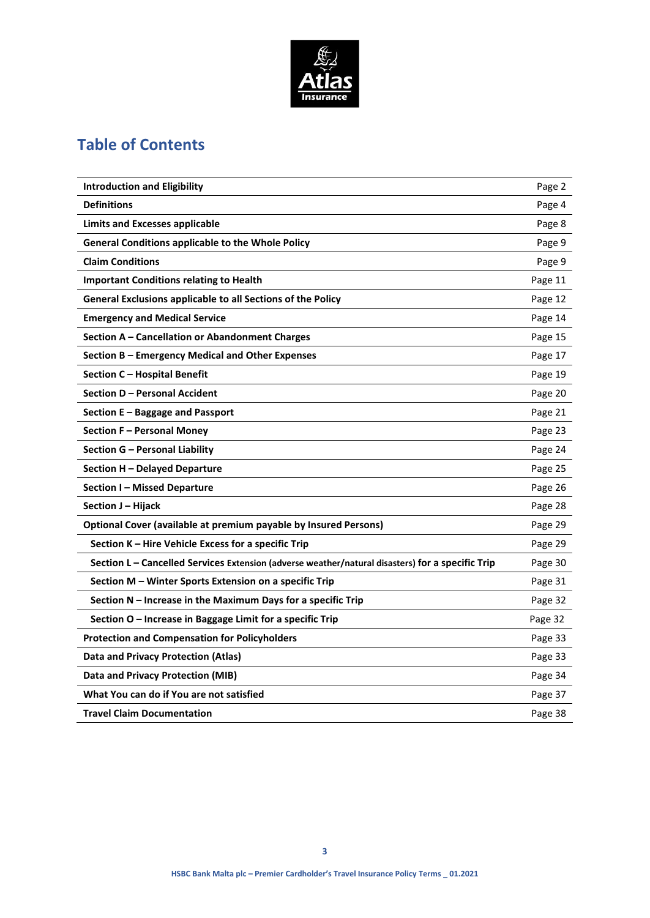

# **Table of Contents**

| <b>Introduction and Eligibility</b>                                                              | Page 2  |
|--------------------------------------------------------------------------------------------------|---------|
| <b>Definitions</b>                                                                               | Page 4  |
| <b>Limits and Excesses applicable</b>                                                            | Page 8  |
| <b>General Conditions applicable to the Whole Policy</b>                                         | Page 9  |
| <b>Claim Conditions</b>                                                                          | Page 9  |
| <b>Important Conditions relating to Health</b>                                                   | Page 11 |
| General Exclusions applicable to all Sections of the Policy                                      | Page 12 |
| <b>Emergency and Medical Service</b>                                                             | Page 14 |
| Section A – Cancellation or Abandonment Charges                                                  | Page 15 |
| Section B - Emergency Medical and Other Expenses                                                 | Page 17 |
| Section C - Hospital Benefit                                                                     | Page 19 |
| Section D - Personal Accident                                                                    | Page 20 |
| Section E - Baggage and Passport                                                                 | Page 21 |
| Section F - Personal Money                                                                       | Page 23 |
| Section G – Personal Liability                                                                   | Page 24 |
| Section H - Delayed Departure                                                                    | Page 25 |
| Section I – Missed Departure                                                                     | Page 26 |
| Section J – Hijack                                                                               | Page 28 |
| Optional Cover (available at premium payable by Insured Persons)                                 | Page 29 |
| Section K - Hire Vehicle Excess for a specific Trip                                              | Page 29 |
| Section L - Cancelled Services Extension (adverse weather/natural disasters) for a specific Trip | Page 30 |
| Section M - Winter Sports Extension on a specific Trip                                           | Page 31 |
| Section N - Increase in the Maximum Days for a specific Trip                                     | Page 32 |
| Section O - Increase in Baggage Limit for a specific Trip                                        | Page 32 |
| <b>Protection and Compensation for Policyholders</b>                                             | Page 33 |
| <b>Data and Privacy Protection (Atlas)</b>                                                       | Page 33 |
| Data and Privacy Protection (MIB)                                                                | Page 34 |
| What You can do if You are not satisfied                                                         | Page 37 |
| <b>Travel Claim Documentation</b>                                                                | Page 38 |
|                                                                                                  |         |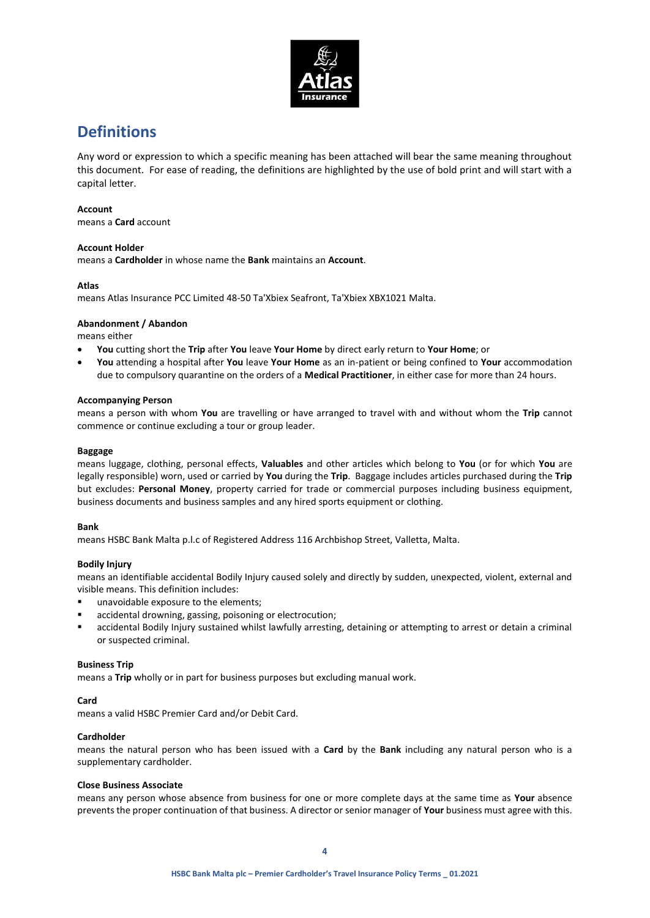

# **Definitions**

Any word or expression to which a specific meaning has been attached will bear the same meaning throughout this document. For ease of reading, the definitions are highlighted by the use of bold print and will start with a capital letter.

### **Account**

means a **Card** account

### **Account Holder**

means a **Cardholder** in whose name the **Bank** maintains an **Account**.

### **Atlas**

means Atlas Insurance PCC Limited 48-50 Ta'Xbiex Seafront, Ta'Xbiex XBX1021 Malta.

### **Abandonment / Abandon**

means either

- **You** cutting short the **Trip** after **You** leave **Your Home** by direct early return to **Your Home**; or
- **You** attending a hospital after **You** leave **Your Home** as an in-patient or being confined to **Your** accommodation due to compulsory quarantine on the orders of a **Medical Practitioner**, in either case for more than 24 hours.

### **Accompanying Person**

means a person with whom **You** are travelling or have arranged to travel with and without whom the **Trip** cannot commence or continue excluding a tour or group leader.

### **Baggage**

means luggage, clothing, personal effects, **Valuables** and other articles which belong to **You** (or for which **You** are legally responsible) worn, used or carried by **You** during the **Trip**. Baggage includes articles purchased during the **Trip** but excludes: **Personal Money**, property carried for trade or commercial purposes including business equipment, business documents and business samples and any hired sports equipment or clothing.

### **Bank**

means HSBC Bank Malta p.l.c of Registered Address 116 Archbishop Street, Valletta, Malta.

### **Bodily Injury**

means an identifiable accidental Bodily Injury caused solely and directly by sudden, unexpected, violent, external and visible means. This definition includes:

- unavoidable exposure to the elements;
- accidental drowning, gassing, poisoning or electrocution;
- accidental Bodily Injury sustained whilst lawfully arresting, detaining or attempting to arrest or detain a criminal or suspected criminal.

### **Business Trip**

means a **Trip** wholly or in part for business purposes but excluding manual work.

### **Card**

means a valid HSBC Premier Card and/or Debit Card.

### **Cardholder**

means the natural person who has been issued with a **Card** by the **Bank** including any natural person who is a supplementary cardholder.

### **Close Business Associate**

means any person whose absence from business for one or more complete days at the same time as **Your** absence prevents the proper continuation of that business. A director or senior manager of **Your** business must agree with this.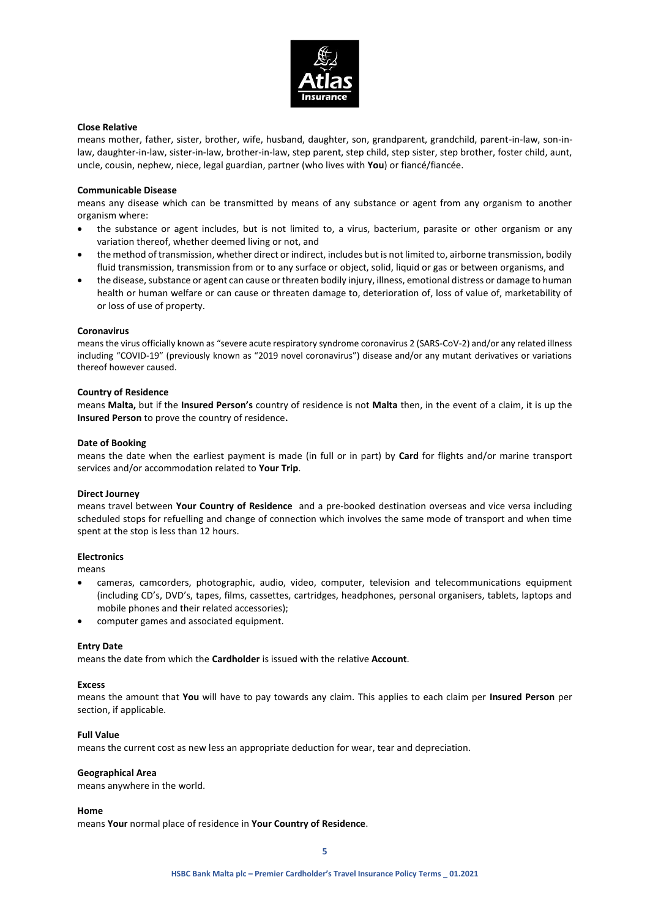

### **Close Relative**

means mother, father, sister, brother, wife, husband, daughter, son, grandparent, grandchild, parent-in-law, son-inlaw, daughter-in-law, sister-in-law, brother-in-law, step parent, step child, step sister, step brother, foster child, aunt, uncle, cousin, nephew, niece, legal guardian, partner (who lives with **You**) or fiancé/fiancée.

#### **Communicable Disease**

means any disease which can be transmitted by means of any substance or agent from any organism to another organism where:

- the substance or agent includes, but is not limited to, a virus, bacterium, parasite or other organism or any variation thereof, whether deemed living or not, and
- the method of transmission, whether direct or indirect, includes but is not limited to, airborne transmission, bodily fluid transmission, transmission from or to any surface or object, solid, liquid or gas or between organisms, and
- the disease, substance or agent can cause or threaten bodily injury, illness, emotional distress or damage to human health or human welfare or can cause or threaten damage to, deterioration of, loss of value of, marketability of or loss of use of property.

#### **Coronavirus**

means the virus officially known as "severe acute respiratory syndrome coronavirus 2 (SARS-CoV-2) and/or any related illness including "COVID-19" (previously known as "2019 novel coronavirus") disease and/or any mutant derivatives or variations thereof however caused.

#### **Country of Residence**

means **Malta,** but if the **Insured Person's** country of residence is not **Malta** then, in the event of a claim, it is up the **Insured Person** to prove the country of residence**.**

#### **Date of Booking**

means the date when the earliest payment is made (in full or in part) by **Card** for flights and/or marine transport services and/or accommodation related to **Your Trip**.

#### **Direct Journey**

means travel between **Your Country of Residence** and a pre-booked destination overseas and vice versa including scheduled stops for refuelling and change of connection which involves the same mode of transport and when time spent at the stop is less than 12 hours.

### **Electronics**

means

- cameras, camcorders, photographic, audio, video, computer, television and telecommunications equipment (including CD's, DVD's, tapes, films, cassettes, cartridges, headphones, personal organisers, tablets, laptops and mobile phones and their related accessories);
- computer games and associated equipment.

#### **Entry Date**

means the date from which the **Cardholder** is issued with the relative **Account**.

### **Excess**

means the amount that **You** will have to pay towards any claim. This applies to each claim per **Insured Person** per section, if applicable.

#### **Full Value**

means the current cost as new less an appropriate deduction for wear, tear and depreciation.

#### **Geographical Area**

means anywhere in the world.

#### **Home**

means **Your** normal place of residence in **Your Country of Residence**.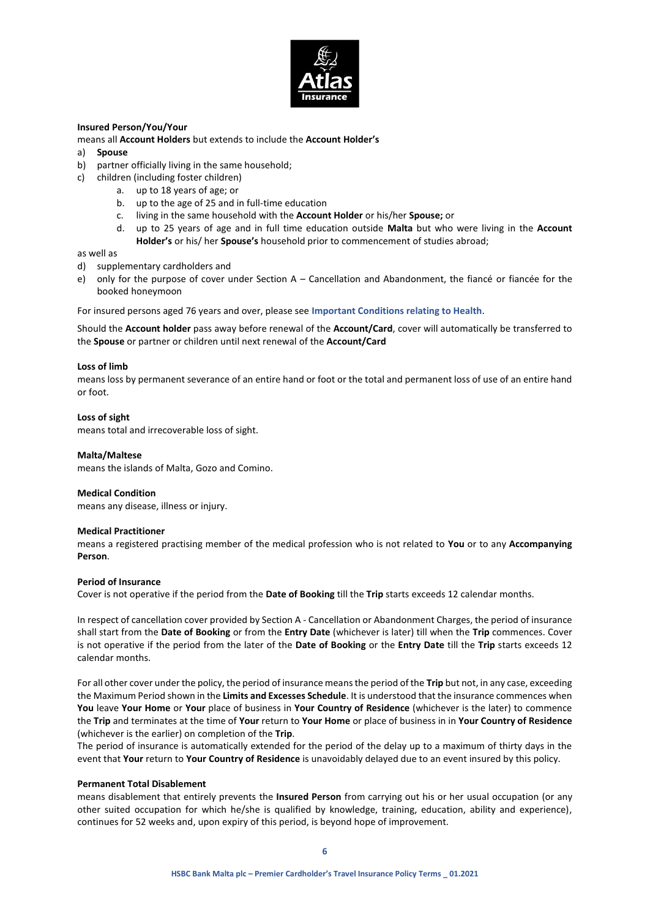

### **Insured Person/You/Your**

means all **Account Holders** but extends to include the **Account Holder's**

- a) **Spouse**
- b) partner officially living in the same household;
- c) children (including foster children)
	- a. up to 18 years of age; or
	- b. up to the age of 25 and in full-time education
	- c. living in the same household with the **Account Holder** or his/her **Spouse;** or
	- d. up to 25 years of age and in full time education outside **Malta** but who were living in the **Account Holder's** or his/ her **Spouse's** household prior to commencement of studies abroad;

### as well as

- d) supplementary cardholders and
- e) only for the purpose of cover under Section A Cancellation and Abandonment, the fiancé or fiancée for the booked honeymoon

For insured persons aged 76 years and over, please see **Important Conditions relating to Health**.

Should the **Account holder** pass away before renewal of the **Account/Card**, cover will automatically be transferred to the **Spouse** or partner or children until next renewal of the **Account/Card**

### **Loss of limb**

means loss by permanent severance of an entire hand or foot or the total and permanent loss of use of an entire hand or foot.

### **Loss of sight**

means total and irrecoverable loss of sight.

#### **Malta/Maltese**

means the islands of Malta, Gozo and Comino.

### **Medical Condition**

means any disease, illness or injury.

#### **Medical Practitioner**

means a registered practising member of the medical profession who is not related to **You** or to any **Accompanying Person**.

### **Period of Insurance**

Cover is not operative if the period from the **Date of Booking** till the **Trip** starts exceeds 12 calendar months.

In respect of cancellation cover provided by Section A - Cancellation or Abandonment Charges, the period of insurance shall start from the **Date of Booking** or from the **Entry Date** (whichever is later) till when the **Trip** commences. Cover is not operative if the period from the later of the **Date of Booking** or the **Entry Date** till the **Trip** starts exceeds 12 calendar months.

For all other cover under the policy, the period of insurance means the period of the **Trip** but not, in any case, exceeding the Maximum Period shown in the **Limits and Excesses Schedule**. It is understood that the insurance commences when **You** leave **Your Home** or **Your** place of business in **Your Country of Residence** (whichever is the later) to commence the **Trip** and terminates at the time of **Your** return to **Your Home** or place of business in in **Your Country of Residence** (whichever is the earlier) on completion of the **Trip**.

The period of insurance is automatically extended for the period of the delay up to a maximum of thirty days in the event that **Your** return to **Your Country of Residence** is unavoidably delayed due to an event insured by this policy.

#### **Permanent Total Disablement**

means disablement that entirely prevents the **Insured Person** from carrying out his or her usual occupation (or any other suited occupation for which he/she is qualified by knowledge, training, education, ability and experience), continues for 52 weeks and, upon expiry of this period, is beyond hope of improvement.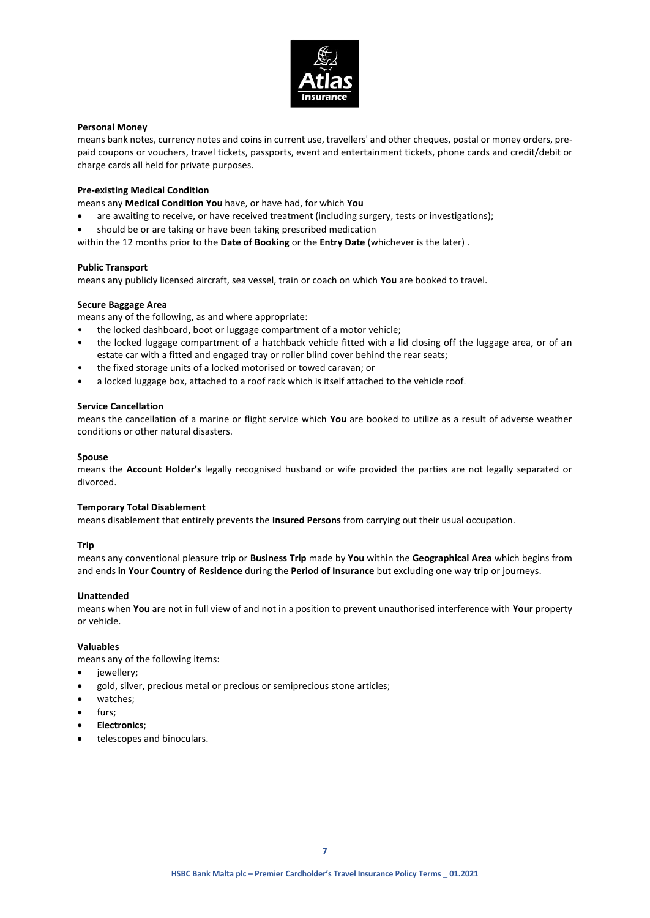

### **Personal Money**

means bank notes, currency notes and coins in current use, travellers' and other cheques, postal or money orders, prepaid coupons or vouchers, travel tickets, passports, event and entertainment tickets, phone cards and credit/debit or charge cards all held for private purposes.

### **Pre-existing Medical Condition**

means any **Medical Condition You** have, or have had, for which **You**

- are awaiting to receive, or have received treatment (including surgery, tests or investigations);
- should be or are taking or have been taking prescribed medication
- within the 12 months prior to the **Date of Booking** or the **Entry Date** (whichever is the later) .

### **Public Transport**

means any publicly licensed aircraft, sea vessel, train or coach on which **You** are booked to travel.

### **Secure Baggage Area**

means any of the following, as and where appropriate:

- the locked dashboard, boot or luggage compartment of a motor vehicle;
- the locked luggage compartment of a hatchback vehicle fitted with a lid closing off the luggage area, or of an estate car with a fitted and engaged tray or roller blind cover behind the rear seats;
- the fixed storage units of a locked motorised or towed caravan; or
- a locked luggage box, attached to a roof rack which is itself attached to the vehicle roof.

### **Service Cancellation**

means the cancellation of a marine or flight service which **You** are booked to utilize as a result of adverse weather conditions or other natural disasters.

### **Spouse**

means the **Account Holder's** legally recognised husband or wife provided the parties are not legally separated or divorced.

### **Temporary Total Disablement**

means disablement that entirely prevents the **Insured Persons** from carrying out their usual occupation.

### **Trip**

means any conventional pleasure trip or **Business Trip** made by **You** within the **Geographical Area** which begins from and ends **in Your Country of Residence** during the **Period of Insurance** but excluding one way trip or journeys.

### **Unattended**

means when **You** are not in full view of and not in a position to prevent unauthorised interference with **Your** property or vehicle.

### **Valuables**

means any of the following items:

- iewellery:
- gold, silver, precious metal or precious or semiprecious stone articles;
- watches;
- furs;
- **Electronics**;
- telescopes and binoculars.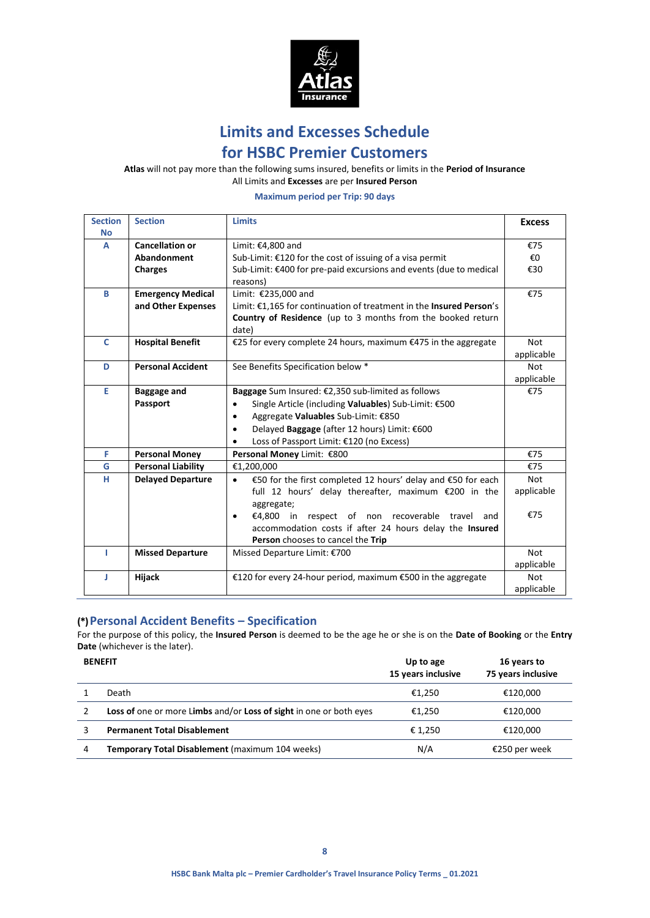

**Limits and Excesses Schedule**

# **for HSBC Premier Customers**

**Atlas** will not pay more than the following sums insured, benefits or limits in the **Period of Insurance** All Limits and **Excesses** are per **Insured Person**

**Maximum period per Trip: 90 days**

| <b>Section</b> | <b>Section</b>            | <b>Limits</b>                                                             | <b>Excess</b> |
|----------------|---------------------------|---------------------------------------------------------------------------|---------------|
| <b>No</b>      |                           |                                                                           |               |
| A              | <b>Cancellation or</b>    | Limit: €4,800 and                                                         | €75           |
|                | Abandonment               | Sub-Limit: €120 for the cost of issuing of a visa permit                  | $\epsilon$ 0  |
|                | <b>Charges</b>            | Sub-Limit: €400 for pre-paid excursions and events (due to medical        | €30           |
|                |                           | reasons)                                                                  |               |
| B              | <b>Emergency Medical</b>  | Limit: €235,000 and                                                       | €75           |
|                | and Other Expenses        | Limit: €1,165 for continuation of treatment in the Insured Person's       |               |
|                |                           | Country of Residence (up to 3 months from the booked return               |               |
|                |                           | date)                                                                     |               |
| C              | <b>Hospital Benefit</b>   | €25 for every complete 24 hours, maximum €475 in the aggregate            |               |
|                |                           |                                                                           | applicable    |
| D              | <b>Personal Accident</b>  | See Benefits Specification below *                                        | Not           |
|                |                           |                                                                           | applicable    |
| E              | <b>Baggage and</b>        | Baggage Sum Insured: €2,350 sub-limited as follows                        | €75           |
|                | Passport                  | Single Article (including Valuables) Sub-Limit: €500<br>$\bullet$         |               |
|                |                           | Aggregate Valuables Sub-Limit: €850<br>$\bullet$                          |               |
|                |                           | Delayed Baggage (after 12 hours) Limit: €600<br>$\bullet$                 |               |
|                |                           | Loss of Passport Limit: €120 (no Excess)<br>$\bullet$                     |               |
| F              | <b>Personal Money</b>     | Personal Money Limit: €800                                                | €75           |
| G              | <b>Personal Liability</b> | €1,200,000                                                                | €75           |
| н              | <b>Delayed Departure</b>  | €50 for the first completed 12 hours' delay and €50 for each<br>$\bullet$ | <b>Not</b>    |
|                |                           | full 12 hours' delay thereafter, maximum €200 in the                      | applicable    |
|                |                           | aggregate;                                                                |               |
|                |                           | $£4,800$ in respect of non recoverable<br>travel<br>and<br>$\bullet$      | €75           |
|                |                           | accommodation costs if after 24 hours delay the Insured                   |               |
|                |                           | Person chooses to cancel the Trip                                         |               |
| т              | <b>Missed Departure</b>   | Missed Departure Limit: €700                                              |               |
|                |                           |                                                                           | applicable    |
| J              | Hijack                    | €120 for every 24-hour period, maximum €500 in the aggregate              | <b>Not</b>    |
|                |                           |                                                                           | applicable    |

## **(\*) Personal Accident Benefits – Specification**

For the purpose of this policy, the **Insured Person** is deemed to be the age he or she is on the **Date of Booking** or the **Entry Date** (whichever is the later).

|   | <b>BENEFIT</b>                                                            | Up to age<br>15 years inclusive | 16 years to<br>75 years inclusive |
|---|---------------------------------------------------------------------------|---------------------------------|-----------------------------------|
|   | Death                                                                     | €1.250                          | €120,000                          |
|   | <b>Loss of</b> one or more Limbs and/or Loss of sight in one or both eyes | €1.250                          | €120.000                          |
|   | <b>Permanent Total Disablement</b>                                        | € 1.250                         | €120,000                          |
| 4 | Temporary Total Disablement (maximum 104 weeks)                           | N/A                             | €250 per week                     |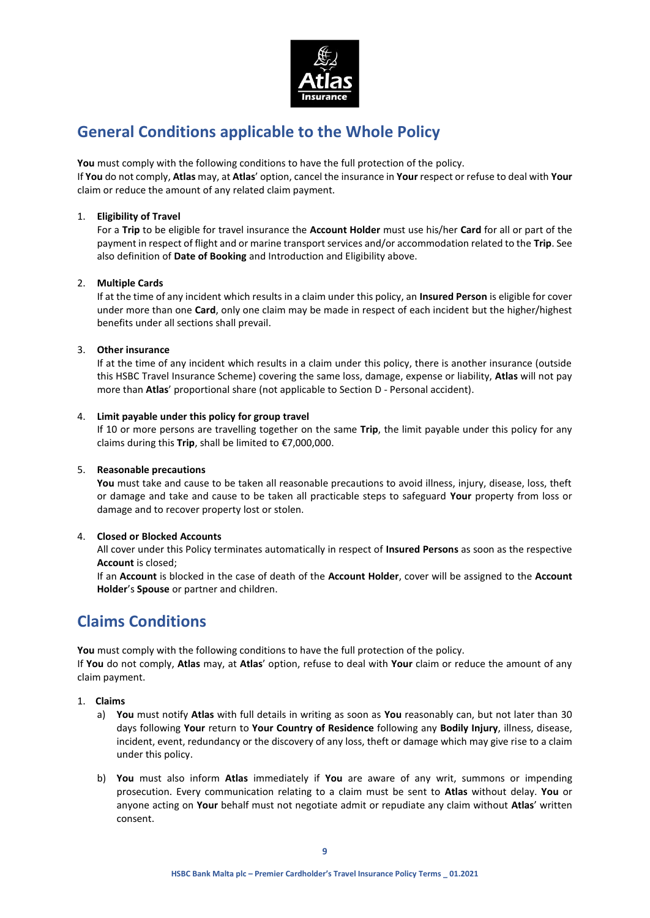

# **General Conditions applicable to the Whole Policy**

**You** must comply with the following conditions to have the full protection of the policy.

If **You** do not comply, **Atlas** may, at **Atlas**' option, cancel the insurance in **Your** respect or refuse to deal with **Your** claim or reduce the amount of any related claim payment.

### 1. **Eligibility of Travel**

For a **Trip** to be eligible for travel insurance the **Account Holder** must use his/her **Card** for all or part of the payment in respect of flight and or marine transport services and/or accommodation related to the **Trip**. See also definition of **Date of Booking** and Introduction and Eligibility above.

### 2. **Multiple Cards**

If at the time of any incident which results in a claim under this policy, an **Insured Person** is eligible for cover under more than one **Card**, only one claim may be made in respect of each incident but the higher/highest benefits under all sections shall prevail.

### 3. **Other insurance**

If at the time of any incident which results in a claim under this policy, there is another insurance (outside this HSBC Travel Insurance Scheme) covering the same loss, damage, expense or liability, **Atlas** will not pay more than **Atlas**' proportional share (not applicable to Section D - Personal accident).

### 4. **Limit payable under this policy for group travel**

If 10 or more persons are travelling together on the same **Trip**, the limit payable under this policy for any claims during this **Trip**, shall be limited to €7,000,000.

### 5. **Reasonable precautions**

**You** must take and cause to be taken all reasonable precautions to avoid illness, injury, disease, loss, theft or damage and take and cause to be taken all practicable steps to safeguard **Your** property from loss or damage and to recover property lost or stolen.

## 4. **Closed or Blocked Accounts**

All cover under this Policy terminates automatically in respect of **Insured Persons** as soon as the respective **Account** is closed;

If an **Account** is blocked in the case of death of the **Account Holder**, cover will be assigned to the **Account Holder**'s **Spouse** or partner and children.

# **Claims Conditions**

**You** must comply with the following conditions to have the full protection of the policy.

If **You** do not comply, **Atlas** may, at **Atlas**' option, refuse to deal with **Your** claim or reduce the amount of any claim payment.

- 1. **Claims**
	- a) **You** must notify **Atlas** with full details in writing as soon as **You** reasonably can, but not later than 30 days following **Your** return to **Your Country of Residence** following any **Bodily Injury**, illness, disease, incident, event, redundancy or the discovery of any loss, theft or damage which may give rise to a claim under this policy.
	- b) **You** must also inform **Atlas** immediately if **You** are aware of any writ, summons or impending prosecution. Every communication relating to a claim must be sent to **Atlas** without delay. **You** or anyone acting on **Your** behalf must not negotiate admit or repudiate any claim without **Atlas**' written consent.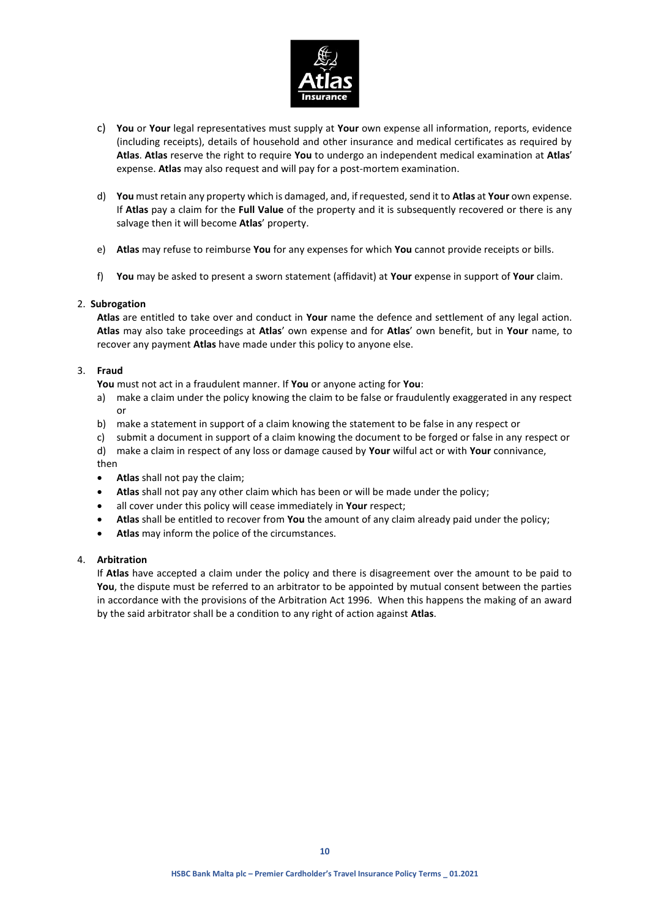

- c) **You** or **Your** legal representatives must supply at **Your** own expense all information, reports, evidence (including receipts), details of household and other insurance and medical certificates as required by **Atlas**. **Atlas** reserve the right to require **You** to undergo an independent medical examination at **Atlas**' expense. **Atlas** may also request and will pay for a post-mortem examination.
- d) **You** must retain any property which is damaged, and, if requested, send it to **Atlas** at **Your** own expense. If **Atlas** pay a claim for the **Full Value** of the property and it is subsequently recovered or there is any salvage then it will become **Atlas**' property.
- e) **Atlas** may refuse to reimburse **You** for any expenses for which **You** cannot provide receipts or bills.
- f) **You** may be asked to present a sworn statement (affidavit) at **Your** expense in support of **Your** claim.

### 2. **Subrogation**

**Atlas** are entitled to take over and conduct in **Your** name the defence and settlement of any legal action. **Atlas** may also take proceedings at **Atlas**' own expense and for **Atlas**' own benefit, but in **Your** name, to recover any payment **Atlas** have made under this policy to anyone else.

### 3. **Fraud**

**You** must not act in a fraudulent manner. If **You** or anyone acting for **You**:

- a) make a claim under the policy knowing the claim to be false or fraudulently exaggerated in any respect or
- b) make a statement in support of a claim knowing the statement to be false in any respect or
- c) submit a document in support of a claim knowing the document to be forged or false in any respect or
- d) make a claim in respect of any loss or damage caused by **Your** wilful act or with **Your** connivance,
- then
- **Atlas** shall not pay the claim;
- **Atlas** shall not pay any other claim which has been or will be made under the policy;
- all cover under this policy will cease immediately in **Your** respect;
- **Atlas** shall be entitled to recover from **You** the amount of any claim already paid under the policy;
- **Atlas** may inform the police of the circumstances.

### 4. **Arbitration**

If **Atlas** have accepted a claim under the policy and there is disagreement over the amount to be paid to **You**, the dispute must be referred to an arbitrator to be appointed by mutual consent between the parties in accordance with the provisions of the Arbitration Act 1996. When this happens the making of an award by the said arbitrator shall be a condition to any right of action against **Atlas**.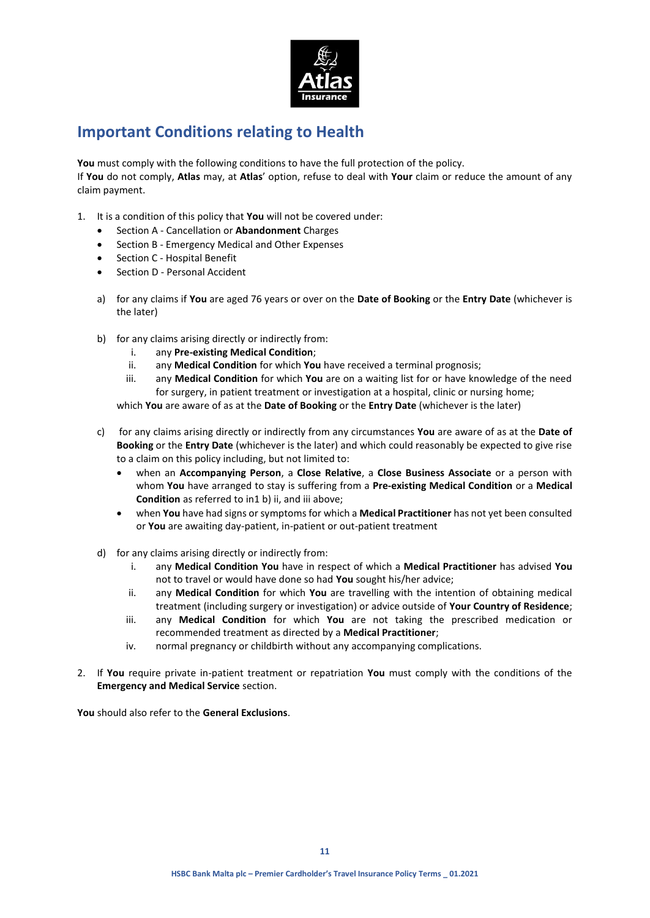

# **Important Conditions relating to Health**

**You** must comply with the following conditions to have the full protection of the policy. If **You** do not comply, **Atlas** may, at **Atlas**' option, refuse to deal with **Your** claim or reduce the amount of any claim payment.

- 1. It is a condition of this policy that **You** will not be covered under:
	- Section A Cancellation or **Abandonment** Charges
	- Section B Emergency Medical and Other Expenses
	- Section C Hospital Benefit
	- Section D Personal Accident
	- a) for any claims if **You** are aged 76 years or over on the **Date of Booking** or the **Entry Date** (whichever is the later)
	- b) for any claims arising directly or indirectly from:
		- i. any **Pre-existing Medical Condition**;
		- ii. any **Medical Condition** for which **You** have received a terminal prognosis;
		- iii. any **Medical Condition** for which **You** are on a waiting list for or have knowledge of the need for surgery, in patient treatment or investigation at a hospital, clinic or nursing home;

which **You** are aware of as at the **Date of Booking** or the **Entry Date** (whichever is the later)

- c) for any claims arising directly or indirectly from any circumstances **You** are aware of as at the **Date of Booking** or the **Entry Date** (whichever is the later) and which could reasonably be expected to give rise to a claim on this policy including, but not limited to:
	- when an **Accompanying Person**, a **Close Relative**, a **Close Business Associate** or a person with whom **You** have arranged to stay is suffering from a **Pre-existing Medical Condition** or a **Medical Condition** as referred to in1 b) ii, and iii above;
	- when **You** have had signs or symptoms for which a **Medical Practitioner** has not yet been consulted or **You** are awaiting day-patient, in-patient or out-patient treatment
- d) for any claims arising directly or indirectly from:
	- i. any **Medical Condition You** have in respect of which a **Medical Practitioner** has advised **You** not to travel or would have done so had **You** sought his/her advice;
	- ii. any **Medical Condition** for which **You** are travelling with the intention of obtaining medical treatment (including surgery or investigation) or advice outside of **Your Country of Residence**;
	- iii. any **Medical Condition** for which **You** are not taking the prescribed medication or recommended treatment as directed by a **Medical Practitioner**;
	- iv. normal pregnancy or childbirth without any accompanying complications.
- 2. If **You** require private in-patient treatment or repatriation **You** must comply with the conditions of the **Emergency and Medical Service** section.

**You** should also refer to the **General Exclusions**.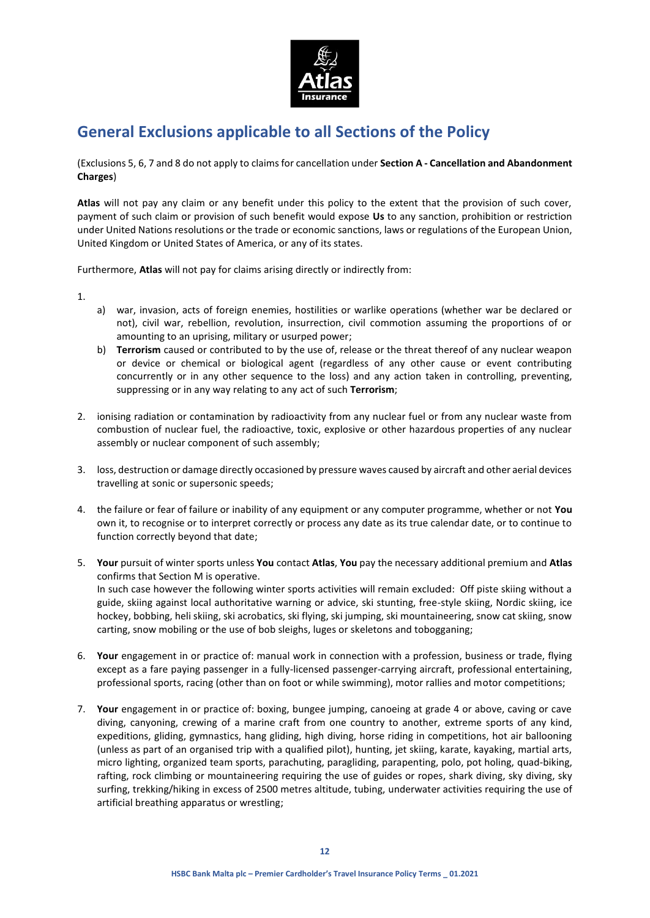

# **General Exclusions applicable to all Sections of the Policy**

(Exclusions 5, 6, 7 and 8 do not apply to claims for cancellation under **Section A - Cancellation and Abandonment Charges**)

**Atlas** will not pay any claim or any benefit under this policy to the extent that the provision of such cover, payment of such claim or provision of such benefit would expose **Us** to any sanction, prohibition or restriction under United Nations resolutions or the trade or economic sanctions, laws or regulations of the European Union, United Kingdom or United States of America, or any of its states.

Furthermore, **Atlas** will not pay for claims arising directly or indirectly from:

1.

- a) war, invasion, acts of foreign enemies, hostilities or warlike operations (whether war be declared or not), civil war, rebellion, revolution, insurrection, civil commotion assuming the proportions of or amounting to an uprising, military or usurped power;
- b) **Terrorism** caused or contributed to by the use of, release or the threat thereof of any nuclear weapon or device or chemical or biological agent (regardless of any other cause or event contributing concurrently or in any other sequence to the loss) and any action taken in controlling, preventing, suppressing or in any way relating to any act of such **Terrorism**;
- 2. ionising radiation or contamination by radioactivity from any nuclear fuel or from any nuclear waste from combustion of nuclear fuel, the radioactive, toxic, explosive or other hazardous properties of any nuclear assembly or nuclear component of such assembly;
- 3. loss, destruction or damage directly occasioned by pressure waves caused by aircraft and other aerial devices travelling at sonic or supersonic speeds;
- 4. the failure or fear of failure or inability of any equipment or any computer programme, whether or not **You** own it, to recognise or to interpret correctly or process any date as its true calendar date, or to continue to function correctly beyond that date;
- 5. **Your** pursuit of winter sports unless **You** contact **Atlas**, **You** pay the necessary additional premium and **Atlas** confirms that Section M is operative. In such case however the following winter sports activities will remain excluded: Off piste skiing without a guide, skiing against local authoritative warning or advice, ski stunting, free-style skiing, Nordic skiing, ice hockey, bobbing, heli skiing, ski acrobatics, ski flying, ski jumping, ski mountaineering, snow cat skiing, snow carting, snow mobiling or the use of bob sleighs, luges or skeletons and tobogganing;
- 6. **Your** engagement in or practice of: manual work in connection with a profession, business or trade, flying except as a fare paying passenger in a fully-licensed passenger-carrying aircraft, professional entertaining, professional sports, racing (other than on foot or while swimming), motor rallies and motor competitions;
- 7. **Your** engagement in or practice of: boxing, bungee jumping, canoeing at grade 4 or above, caving or cave diving, canyoning, crewing of a marine craft from one country to another, extreme sports of any kind, expeditions, gliding, gymnastics, hang gliding, high diving, horse riding in competitions, hot air ballooning (unless as part of an organised trip with a qualified pilot), hunting, jet skiing, karate, kayaking, martial arts, micro lighting, organized team sports, parachuting, paragliding, parapenting, polo, pot holing, quad-biking, rafting, rock climbing or mountaineering requiring the use of guides or ropes, shark diving, sky diving, sky surfing, trekking/hiking in excess of 2500 metres altitude, tubing, underwater activities requiring the use of artificial breathing apparatus or wrestling;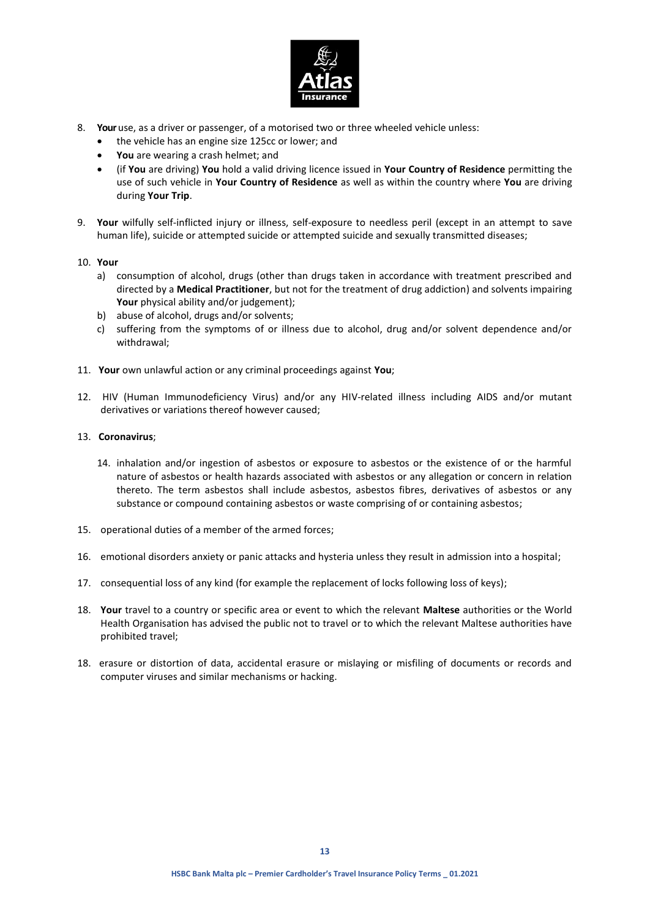

- 8. **Your**use, as a driver or passenger, of a motorised two or three wheeled vehicle unless:
	- the vehicle has an engine size 125cc or lower; and
	- **You** are wearing a crash helmet; and
	- (if **You** are driving) **You** hold a valid driving licence issued in **Your Country of Residence** permitting the use of such vehicle in **Your Country of Residence** as well as within the country where **You** are driving during **Your Trip**.
- 9. **Your** wilfully self-inflicted injury or illness, self-exposure to needless peril (except in an attempt to save human life), suicide or attempted suicide or attempted suicide and sexually transmitted diseases;
- 10. **Your**
	- a) consumption of alcohol, drugs (other than drugs taken in accordance with treatment prescribed and directed by a **Medical Practitioner**, but not for the treatment of drug addiction) and solvents impairing Your physical ability and/or judgement);
	- b) abuse of alcohol, drugs and/or solvents;
	- c) suffering from the symptoms of or illness due to alcohol, drug and/or solvent dependence and/or withdrawal;
- 11. **Your** own unlawful action or any criminal proceedings against **You**;
- 12. HIV (Human Immunodeficiency Virus) and/or any HIV-related illness including AIDS and/or mutant derivatives or variations thereof however caused;
- 13. **Coronavirus**;
	- 14. inhalation and/or ingestion of asbestos or exposure to asbestos or the existence of or the harmful nature of asbestos or health hazards associated with asbestos or any allegation or concern in relation thereto. The term asbestos shall include asbestos, asbestos fibres, derivatives of asbestos or any substance or compound containing asbestos or waste comprising of or containing asbestos;
- 15. operational duties of a member of the armed forces;
- 16. emotional disorders anxiety or panic attacks and hysteria unless they result in admission into a hospital;
- 17. consequential loss of any kind (for example the replacement of locks following loss of keys);
- 18. **Your** travel to a country or specific area or event to which the relevant **Maltese** authorities or the World Health Organisation has advised the public not to travel or to which the relevant Maltese authorities have prohibited travel;
- 18. erasure or distortion of data, accidental erasure or mislaying or misfiling of documents or records and computer viruses and similar mechanisms or hacking.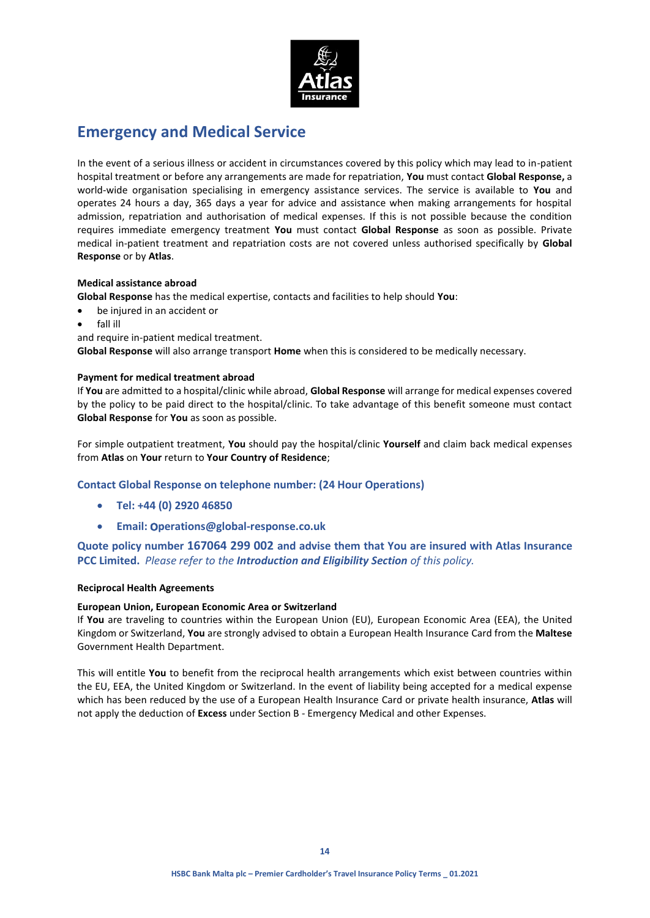

# **Emergency and Medical Service**

In the event of a serious illness or accident in circumstances covered by this policy which may lead to in-patient hospital treatment or before any arrangements are made for repatriation, **You** must contact **Global Response,** a world-wide organisation specialising in emergency assistance services. The service is available to **You** and operates 24 hours a day, 365 days a year for advice and assistance when making arrangements for hospital admission, repatriation and authorisation of medical expenses. If this is not possible because the condition requires immediate emergency treatment **You** must contact **Global Response** as soon as possible. Private medical in-patient treatment and repatriation costs are not covered unless authorised specifically by **Global Response** or by **Atlas**.

### **Medical assistance abroad**

**Global Response** has the medical expertise, contacts and facilities to help should **You**:

- be injured in an accident or
- fall ill
- and require in-patient medical treatment.

**Global Response** will also arrange transport **Home** when this is considered to be medically necessary.

### **Payment for medical treatment abroad**

If **You** are admitted to a hospital/clinic while abroad, **Global Response** will arrange for medical expenses covered by the policy to be paid direct to the hospital/clinic. To take advantage of this benefit someone must contact **Global Response** for **You** as soon as possible.

For simple outpatient treatment, **You** should pay the hospital/clinic **Yourself** and claim back medical expenses from **Atlas** on **Your** return to **Your Country of Residence**;

## **Contact Global Response on telephone number: (24 Hour Operations)**

- **Tel: +44 (0) 2920 46850**
- **Email:** o**perations@global-response.co.uk**

**Quote policy number 167064 299 002 and advise them that You are insured with Atlas Insurance PCC Limited.** *Please refer to the Introduction and Eligibility Section of this policy.*

### **Reciprocal Health Agreements**

### **European Union, European Economic Area or Switzerland**

If **You** are traveling to countries within the European Union (EU), European Economic Area (EEA), the United Kingdom or Switzerland, **You** are strongly advised to obtain a European Health Insurance Card from the **Maltese** Government Health Department.

This will entitle **You** to benefit from the reciprocal health arrangements which exist between countries within the EU, EEA, the United Kingdom or Switzerland. In the event of liability being accepted for a medical expense which has been reduced by the use of a European Health Insurance Card or private health insurance, **Atlas** will not apply the deduction of **Excess** under Section B - Emergency Medical and other Expenses.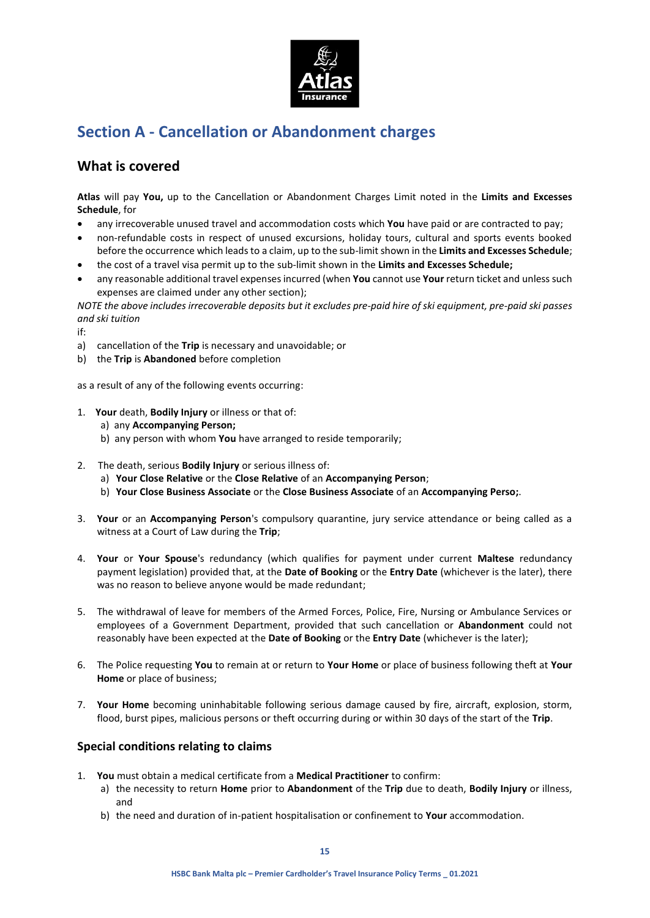

# **Section A - Cancellation or Abandonment charges**

## **What is covered**

**Atlas** will pay **You,** up to the Cancellation or Abandonment Charges Limit noted in the **Limits and Excesses Schedule**, for

- any irrecoverable unused travel and accommodation costs which **You** have paid or are contracted to pay;
- non-refundable costs in respect of unused excursions, holiday tours, cultural and sports events booked before the occurrence which leads to a claim, up to the sub-limit shown in the **Limits and Excesses Schedule**;
- the cost of a travel visa permit up to the sub-limit shown in the **Limits and Excesses Schedule;**
- any reasonable additional travel expenses incurred (when **You** cannot use **Your** return ticket and unless such expenses are claimed under any other section);

*NOTE the above includes irrecoverable deposits but it excludes pre-paid hire of ski equipment, pre-paid ski passes and ski tuition*

if:

- a) cancellation of the **Trip** is necessary and unavoidable; or
- b) the **Trip** is **Abandoned** before completion

as a result of any of the following events occurring:

- 1. **Your** death, **Bodily Injury** or illness or that of:
	- a) any **Accompanying Person;**
	- b) any person with whom **You** have arranged to reside temporarily;
- 2. The death, serious **Bodily Injury** or serious illness of:
	- a) **Your Close Relative** or the **Close Relative** of an **Accompanying Person**;
	- b) **Your Close Business Associate** or the **Close Business Associate** of an **Accompanying Perso;**.
- 3. **Your** or an **Accompanying Person**'s compulsory quarantine, jury service attendance or being called as a witness at a Court of Law during the **Trip**;
- 4. **Your** or **Your Spouse**'s redundancy (which qualifies for payment under current **Maltese** redundancy payment legislation) provided that, at the **Date of Booking** or the **Entry Date** (whichever is the later), there was no reason to believe anyone would be made redundant;
- 5. The withdrawal of leave for members of the Armed Forces, Police, Fire, Nursing or Ambulance Services or employees of a Government Department, provided that such cancellation or **Abandonment** could not reasonably have been expected at the **Date of Booking** or the **Entry Date** (whichever is the later);
- 6. The Police requesting **You** to remain at or return to **Your Home** or place of business following theft at **Your Home** or place of business;
- 7. **Your Home** becoming uninhabitable following serious damage caused by fire, aircraft, explosion, storm, flood, burst pipes, malicious persons or theft occurring during or within 30 days of the start of the **Trip**.

## **Special conditions relating to claims**

- 1. **You** must obtain a medical certificate from a **Medical Practitioner** to confirm:
	- a) the necessity to return **Home** prior to **Abandonment** of the **Trip** due to death, **Bodily Injury** or illness, and
	- b) the need and duration of in-patient hospitalisation or confinement to **Your** accommodation.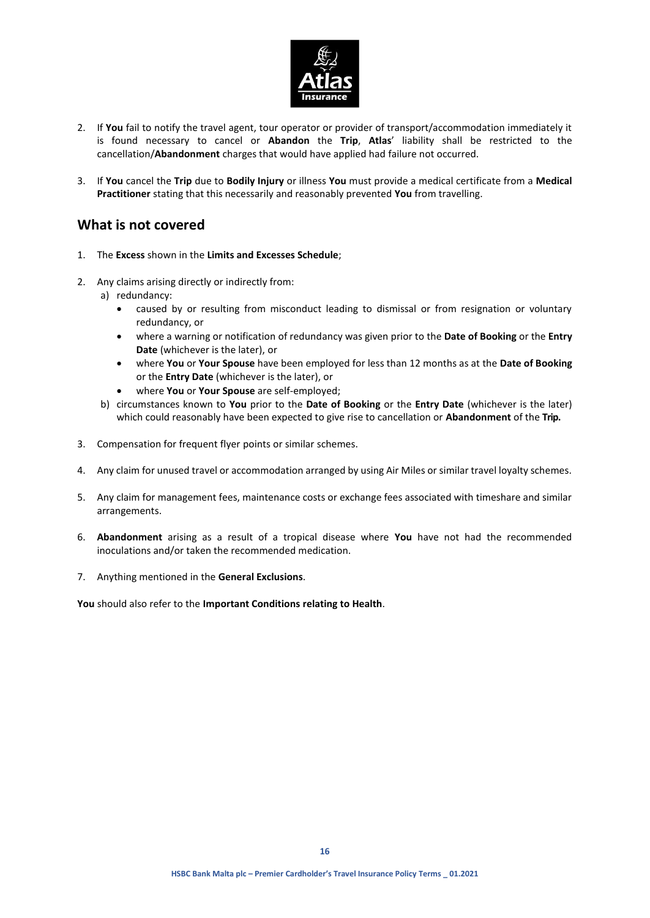

- 2. If **You** fail to notify the travel agent, tour operator or provider of transport/accommodation immediately it is found necessary to cancel or **Abandon** the **Trip**, **Atlas**' liability shall be restricted to the cancellation/**Abandonment** charges that would have applied had failure not occurred.
- 3. If **You** cancel the **Trip** due to **Bodily Injury** or illness **You** must provide a medical certificate from a **Medical Practitioner** stating that this necessarily and reasonably prevented **You** from travelling.

## **What is not covered**

- 1. The **Excess** shown in the **Limits and Excesses Schedule**;
- 2. Any claims arising directly or indirectly from:
	- a) redundancy:
		- caused by or resulting from misconduct leading to dismissal or from resignation or voluntary redundancy, or
		- where a warning or notification of redundancy was given prior to the **Date of Booking** or the **Entry Date** (whichever is the later), or
		- where **You** or **Your Spouse** have been employed for less than 12 months as at the **Date of Booking** or the **Entry Date** (whichever is the later), or
		- where **You** or **Your Spouse** are self-employed;
	- b) circumstances known to **You** prior to the **Date of Booking** or the **Entry Date** (whichever is the later) which could reasonably have been expected to give rise to cancellation or **Abandonment** of the **Trip.**
- 3. Compensation for frequent flyer points or similar schemes.
- 4. Any claim for unused travel or accommodation arranged by using Air Miles or similar travel loyalty schemes.
- 5. Any claim for management fees, maintenance costs or exchange fees associated with timeshare and similar arrangements.
- 6. **Abandonment** arising as a result of a tropical disease where **You** have not had the recommended inoculations and/or taken the recommended medication.
- 7. Anything mentioned in the **General Exclusions**.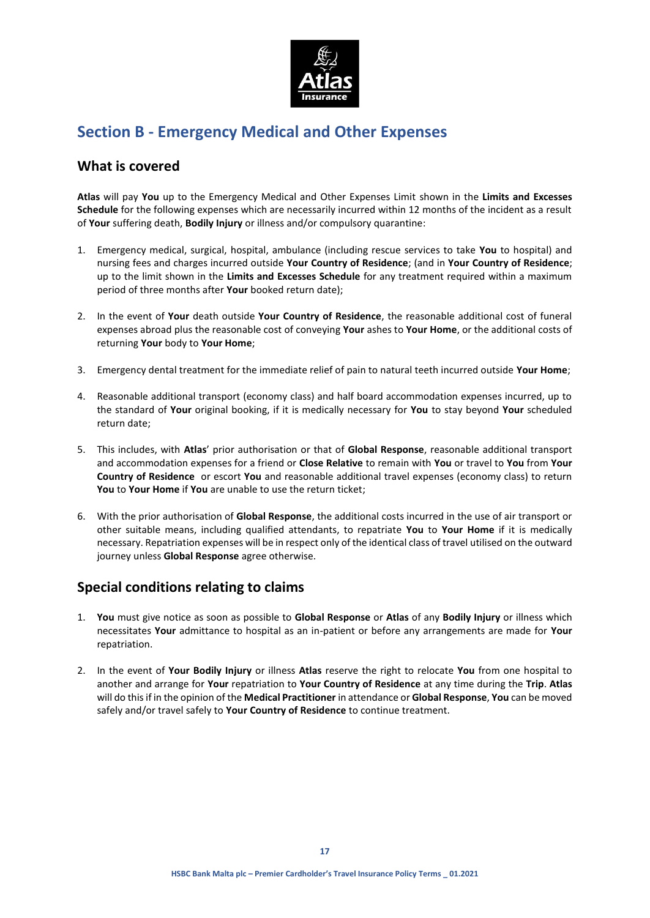

# **Section B - Emergency Medical and Other Expenses**

## **What is covered**

**Atlas** will pay **You** up to the Emergency Medical and Other Expenses Limit shown in the **Limits and Excesses Schedule** for the following expenses which are necessarily incurred within 12 months of the incident as a result of **Your** suffering death, **Bodily Injury** or illness and/or compulsory quarantine:

- 1. Emergency medical, surgical, hospital, ambulance (including rescue services to take **You** to hospital) and nursing fees and charges incurred outside **Your Country of Residence**; (and in **Your Country of Residence**; up to the limit shown in the **Limits and Excesses Schedule** for any treatment required within a maximum period of three months after **Your** booked return date);
- 2. In the event of **Your** death outside **Your Country of Residence**, the reasonable additional cost of funeral expenses abroad plus the reasonable cost of conveying **Your** ashes to **Your Home**, or the additional costs of returning **Your** body to **Your Home**;
- 3. Emergency dental treatment for the immediate relief of pain to natural teeth incurred outside **Your Home**;
- 4. Reasonable additional transport (economy class) and half board accommodation expenses incurred, up to the standard of **Your** original booking, if it is medically necessary for **You** to stay beyond **Your** scheduled return date;
- 5. This includes, with **Atlas**' prior authorisation or that of **Global Response**, reasonable additional transport and accommodation expenses for a friend or **Close Relative** to remain with **You** or travel to **You** from **Your Country of Residence** or escort **You** and reasonable additional travel expenses (economy class) to return **You** to **Your Home** if **You** are unable to use the return ticket;
- 6. With the prior authorisation of **Global Response**, the additional costs incurred in the use of air transport or other suitable means, including qualified attendants, to repatriate **You** to **Your Home** if it is medically necessary. Repatriation expenses will be in respect only of the identical class of travel utilised on the outward journey unless **Global Response** agree otherwise.

# **Special conditions relating to claims**

- 1. **You** must give notice as soon as possible to **Global Response** or **Atlas** of any **Bodily Injury** or illness which necessitates **Your** admittance to hospital as an in-patient or before any arrangements are made for **Your** repatriation.
- 2. In the event of **Your Bodily Injury** or illness **Atlas** reserve the right to relocate **You** from one hospital to another and arrange for **Your** repatriation to **Your Country of Residence** at any time during the **Trip**. **Atlas** will do this if in the opinion of the **Medical Practitioner** in attendance or **Global Response**, **You** can be moved safely and/or travel safely to **Your Country of Residence** to continue treatment.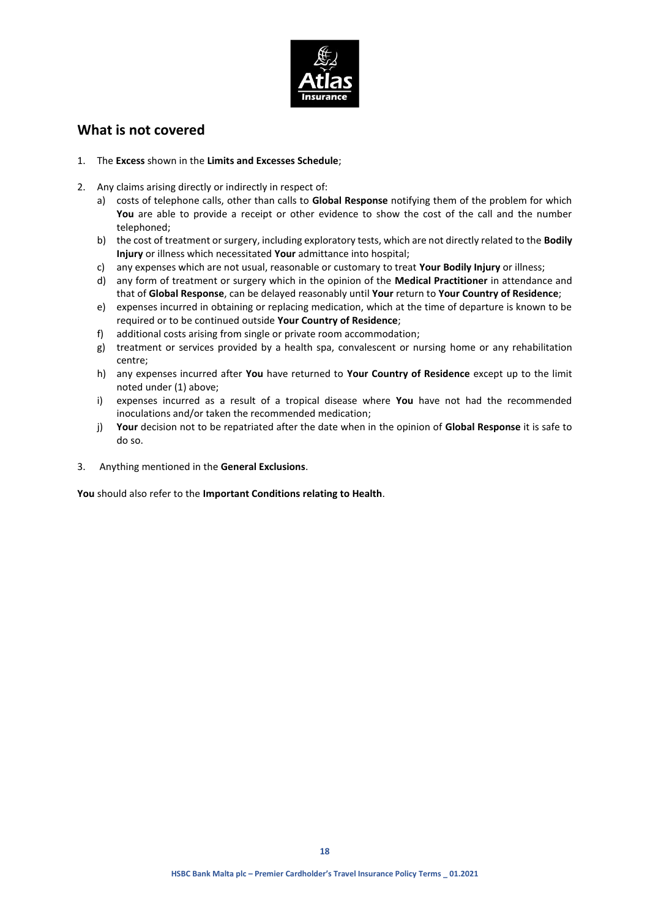

## **What is not covered**

- 1. The **Excess** shown in the **Limits and Excesses Schedule**;
- 2. Any claims arising directly or indirectly in respect of:
	- a) costs of telephone calls, other than calls to **Global Response** notifying them of the problem for which **You** are able to provide a receipt or other evidence to show the cost of the call and the number telephoned;
	- b) the cost of treatment or surgery, including exploratory tests, which are not directly related to the **Bodily Injury** or illness which necessitated **Your** admittance into hospital;
	- c) any expenses which are not usual, reasonable or customary to treat **Your Bodily Injury** or illness;
	- d) any form of treatment or surgery which in the opinion of the **Medical Practitioner** in attendance and that of **Global Response**, can be delayed reasonably until **Your** return to **Your Country of Residence**;
	- e) expenses incurred in obtaining or replacing medication, which at the time of departure is known to be required or to be continued outside **Your Country of Residence**;
	- f) additional costs arising from single or private room accommodation;
	- g) treatment or services provided by a health spa, convalescent or nursing home or any rehabilitation centre;
	- h) any expenses incurred after **You** have returned to **Your Country of Residence** except up to the limit noted under (1) above;
	- i) expenses incurred as a result of a tropical disease where **You** have not had the recommended inoculations and/or taken the recommended medication;
	- j) **Your** decision not to be repatriated after the date when in the opinion of **Global Response** it is safe to do so.
- 3. Anything mentioned in the **General Exclusions**.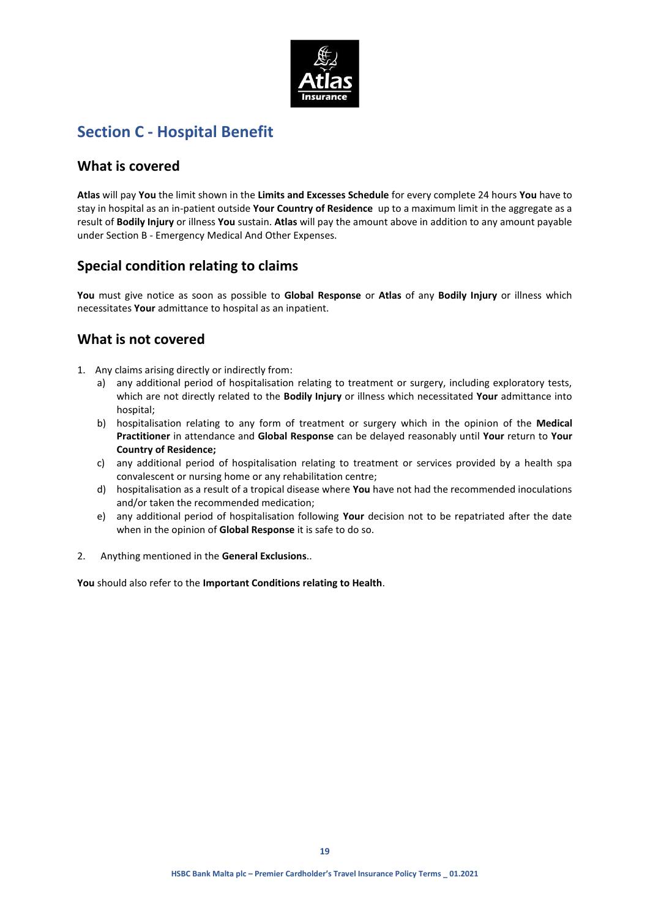

# **Section C - Hospital Benefit**

## **What is covered**

**Atlas** will pay **You** the limit shown in the **Limits and Excesses Schedule** for every complete 24 hours **You** have to stay in hospital as an in-patient outside **Your Country of Residence** up to a maximum limit in the aggregate as a result of **Bodily Injury** or illness **You** sustain. **Atlas** will pay the amount above in addition to any amount payable under Section B - Emergency Medical And Other Expenses.

# **Special condition relating to claims**

**You** must give notice as soon as possible to **Global Response** or **Atlas** of any **Bodily Injury** or illness which necessitates **Your** admittance to hospital as an inpatient.

# **What is not covered**

- 1. Any claims arising directly or indirectly from:
	- a) any additional period of hospitalisation relating to treatment or surgery, including exploratory tests, which are not directly related to the **Bodily Injury** or illness which necessitated **Your** admittance into hospital;
	- b) hospitalisation relating to any form of treatment or surgery which in the opinion of the **Medical Practitioner** in attendance and **Global Response** can be delayed reasonably until **Your** return to **Your Country of Residence;**
	- c) any additional period of hospitalisation relating to treatment or services provided by a health spa convalescent or nursing home or any rehabilitation centre;
	- d) hospitalisation as a result of a tropical disease where **You** have not had the recommended inoculations and/or taken the recommended medication;
	- e) any additional period of hospitalisation following **Your** decision not to be repatriated after the date when in the opinion of **Global Response** it is safe to do so.
- 2. Anything mentioned in the **General Exclusions**..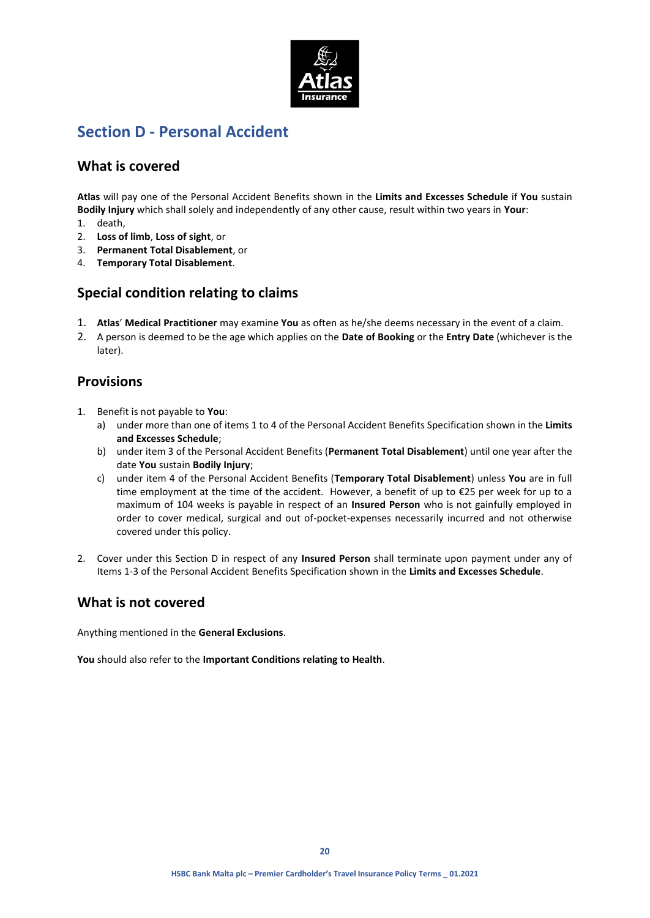

# **Section D - Personal Accident**

## **What is covered**

**Atlas** will pay one of the Personal Accident Benefits shown in the **Limits and Excesses Schedule** if **You** sustain **Bodily Injury** which shall solely and independently of any other cause, result within two years in **Your**:

- 1. death,
- 2. **Loss of limb**, **Loss of sight**, or
- 3. **Permanent Total Disablement**, or
- 4. **Temporary Total Disablement**.

## **Special condition relating to claims**

- 1. **Atlas**' **Medical Practitioner** may examine **You** as often as he/she deems necessary in the event of a claim.
- 2. A person is deemed to be the age which applies on the **Date of Booking** or the **Entry Date** (whichever is the later).

## **Provisions**

- 1. Benefit is not payable to **You**:
	- a) under more than one of items 1 to 4 of the Personal Accident Benefits Specification shown in the **Limits and Excesses Schedule**;
	- b) under item 3 of the Personal Accident Benefits (**Permanent Total Disablement**) until one year after the date **You** sustain **Bodily Injury**;
	- c) under item 4 of the Personal Accident Benefits (**Temporary Total Disablement**) unless **You** are in full time employment at the time of the accident. However, a benefit of up to €25 per week for up to a maximum of 104 weeks is payable in respect of an **Insured Person** who is not gainfully employed in order to cover medical, surgical and out of-pocket-expenses necessarily incurred and not otherwise covered under this policy.
- 2. Cover under this Section D in respect of any **Insured Person** shall terminate upon payment under any of Items 1-3 of the Personal Accident Benefits Specification shown in the **Limits and Excesses Schedule**.

## **What is not covered**

Anything mentioned in the **General Exclusions**.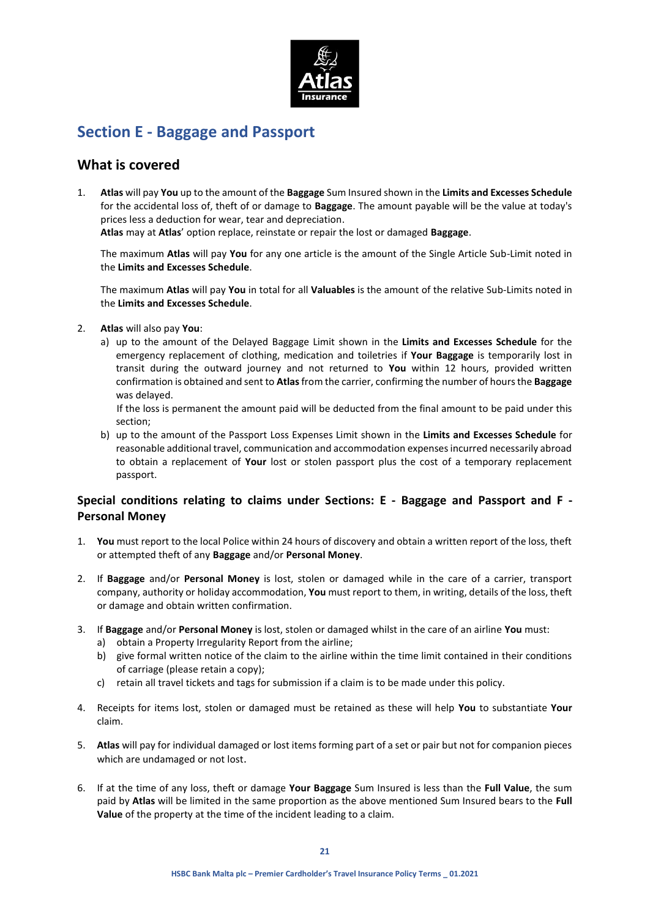

# **Section E - Baggage and Passport**

## **What is covered**

1. **Atlas** will pay **You** up to the amount of the **Baggage** Sum Insured shown in the **Limits and Excesses Schedule** for the accidental loss of, theft of or damage to **Baggage**. The amount payable will be the value at today's prices less a deduction for wear, tear and depreciation.

**Atlas** may at **Atlas**' option replace, reinstate or repair the lost or damaged **Baggage**.

The maximum **Atlas** will pay **You** for any one article is the amount of the Single Article Sub-Limit noted in the **Limits and Excesses Schedule**.

The maximum **Atlas** will pay **You** in total for all **Valuables** is the amount of the relative Sub-Limits noted in the **Limits and Excesses Schedule**.

- 2. **Atlas** will also pay **You**:
	- a) up to the amount of the Delayed Baggage Limit shown in the **Limits and Excesses Schedule** for the emergency replacement of clothing, medication and toiletries if **Your Baggage** is temporarily lost in transit during the outward journey and not returned to **You** within 12 hours, provided written confirmation is obtained and sent to **Atlas**from the carrier, confirming the number of hours the **Baggage** was delayed.

If the loss is permanent the amount paid will be deducted from the final amount to be paid under this section;

b) up to the amount of the Passport Loss Expenses Limit shown in the **Limits and Excesses Schedule** for reasonable additional travel, communication and accommodation expenses incurred necessarily abroad to obtain a replacement of **Your** lost or stolen passport plus the cost of a temporary replacement passport.

## **Special conditions relating to claims under Sections: E - Baggage and Passport and F - Personal Money**

- 1. **You** must report to the local Police within 24 hours of discovery and obtain a written report of the loss, theft or attempted theft of any **Baggage** and/or **Personal Money**.
- 2. If **Baggage** and/or **Personal Money** is lost, stolen or damaged while in the care of a carrier, transport company, authority or holiday accommodation, **You** must report to them, in writing, details of the loss, theft or damage and obtain written confirmation.
- 3. If **Baggage** and/or **Personal Money** is lost, stolen or damaged whilst in the care of an airline **You** must:
	- a) obtain a Property Irregularity Report from the airline;
	- b) give formal written notice of the claim to the airline within the time limit contained in their conditions of carriage (please retain a copy);
	- c) retain all travel tickets and tags for submission if a claim is to be made under this policy.
- 4. Receipts for items lost, stolen or damaged must be retained as these will help **You** to substantiate **Your** claim.
- 5. **Atlas** will pay for individual damaged or lost items forming part of a set or pair but not for companion pieces which are undamaged or not lost.
- 6. If at the time of any loss, theft or damage **Your Baggage** Sum Insured is less than the **Full Value**, the sum paid by **Atlas** will be limited in the same proportion as the above mentioned Sum Insured bears to the **Full Value** of the property at the time of the incident leading to a claim.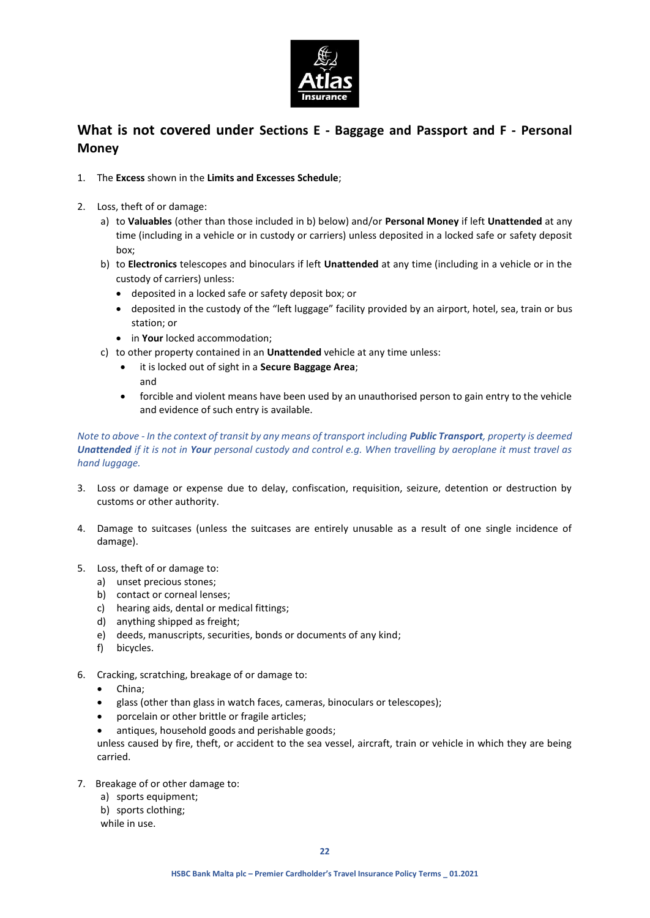

# **What is not covered under Sections E - Baggage and Passport and F - Personal Money**

- 1. The **Excess** shown in the **Limits and Excesses Schedule**;
- 2. Loss, theft of or damage:
	- a) to **Valuables** (other than those included in b) below) and/or **Personal Money** if left **Unattended** at any time (including in a vehicle or in custody or carriers) unless deposited in a locked safe or safety deposit box;
	- b) to **Electronics** telescopes and binoculars if left **Unattended** at any time (including in a vehicle or in the custody of carriers) unless:
		- deposited in a locked safe or safety deposit box; or
		- deposited in the custody of the "left luggage" facility provided by an airport, hotel, sea, train or bus station; or
		- **•** in **Your** locked accommodation;
	- c) to other property contained in an **Unattended** vehicle at any time unless:
		- it is locked out of sight in a **Secure Baggage Area**;
		- and
		- forcible and violent means have been used by an unauthorised person to gain entry to the vehicle and evidence of such entry is available.

### *Note to above - In the context of transit by any means of transport including Public Transport, property is deemed Unattended if it is not in Your personal custody and control e.g. When travelling by aeroplane it must travel as hand luggage.*

- 3. Loss or damage or expense due to delay, confiscation, requisition, seizure, detention or destruction by customs or other authority.
- 4. Damage to suitcases (unless the suitcases are entirely unusable as a result of one single incidence of damage).
- 5. Loss, theft of or damage to:
	- a) unset precious stones;
	- b) contact or corneal lenses;
	- c) hearing aids, dental or medical fittings;
	- d) anything shipped as freight;
	- e) deeds, manuscripts, securities, bonds or documents of any kind;
	- f) bicycles.
- 6. Cracking, scratching, breakage of or damage to:
	- China;
	- glass (other than glass in watch faces, cameras, binoculars or telescopes);
	- porcelain or other brittle or fragile articles;
	- antiques, household goods and perishable goods;

unless caused by fire, theft, or accident to the sea vessel, aircraft, train or vehicle in which they are being carried.

- 7. Breakage of or other damage to:
	- a) sports equipment;
	- b) sports clothing;
	- while in use.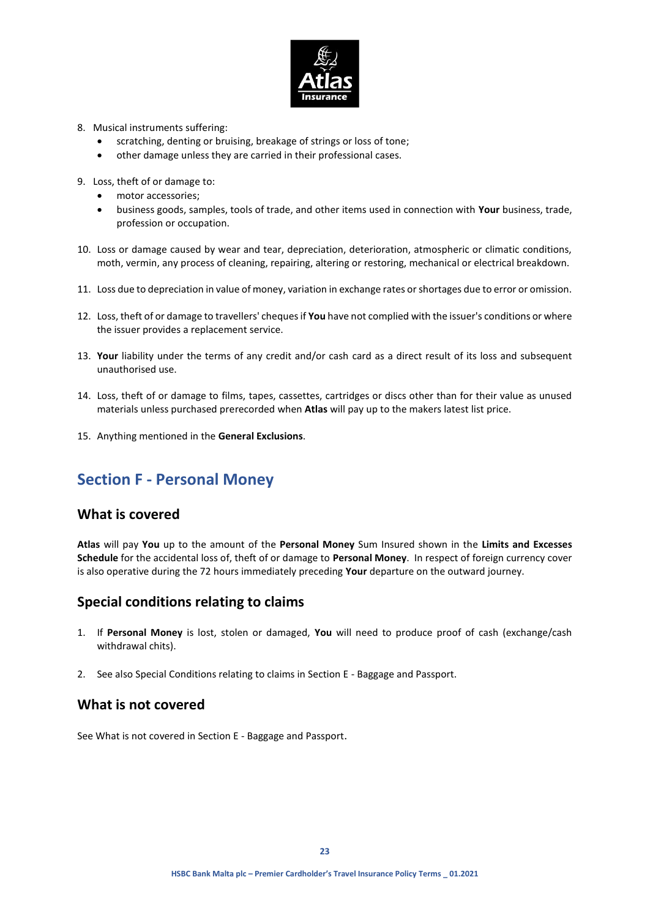

- 8. Musical instruments suffering:
	- scratching, denting or bruising, breakage of strings or loss of tone;
	- other damage unless they are carried in their professional cases.
- 9. Loss, theft of or damage to:
	- motor accessories;
	- business goods, samples, tools of trade, and other items used in connection with **Your** business, trade, profession or occupation.
- 10. Loss or damage caused by wear and tear, depreciation, deterioration, atmospheric or climatic conditions, moth, vermin, any process of cleaning, repairing, altering or restoring, mechanical or electrical breakdown.
- 11. Loss due to depreciation in value of money, variation in exchange rates or shortages due to error or omission.
- 12. Loss, theft of or damage to travellers' cheques if **You** have not complied with the issuer's conditions or where the issuer provides a replacement service.
- 13. **Your** liability under the terms of any credit and/or cash card as a direct result of its loss and subsequent unauthorised use.
- 14. Loss, theft of or damage to films, tapes, cassettes, cartridges or discs other than for their value as unused materials unless purchased prerecorded when **Atlas** will pay up to the makers latest list price.
- 15. Anything mentioned in the **General Exclusions**.

# **Section F - Personal Money**

## **What is covered**

**Atlas** will pay **You** up to the amount of the **Personal Money** Sum Insured shown in the **Limits and Excesses Schedule** for the accidental loss of, theft of or damage to **Personal Money**. In respect of foreign currency cover is also operative during the 72 hours immediately preceding **Your** departure on the outward journey.

## **Special conditions relating to claims**

- 1. If **Personal Money** is lost, stolen or damaged, **You** will need to produce proof of cash (exchange/cash withdrawal chits).
- 2. See also Special Conditions relating to claims in Section E Baggage and Passport.

## **What is not covered**

See What is not covered in Section E - Baggage and Passport.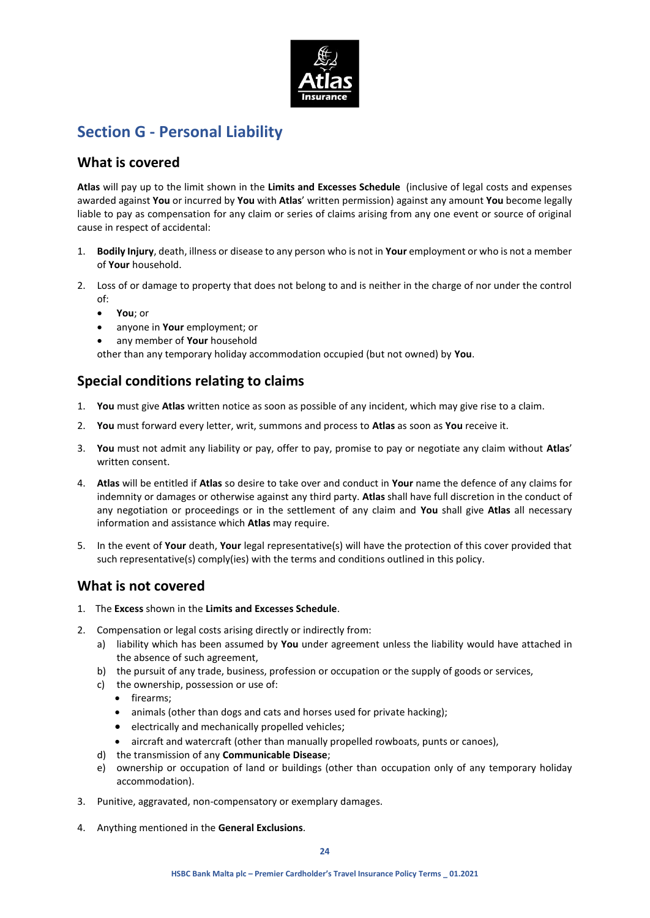

# **Section G - Personal Liability**

## **What is covered**

**Atlas** will pay up to the limit shown in the **Limits and Excesses Schedule** (inclusive of legal costs and expenses awarded against **You** or incurred by **You** with **Atlas**' written permission) against any amount **You** become legally liable to pay as compensation for any claim or series of claims arising from any one event or source of original cause in respect of accidental:

- 1. **Bodily Injury**, death, illness or disease to any person who is not in **Your** employment or who is not a member of **Your** household.
- 2. Loss of or damage to property that does not belong to and is neither in the charge of nor under the control of:
	- **You**; or
	- anyone in **Your** employment; or
	- any member of **Your** household

other than any temporary holiday accommodation occupied (but not owned) by **You**.

# **Special conditions relating to claims**

- 1. **You** must give **Atlas** written notice as soon as possible of any incident, which may give rise to a claim.
- 2. **You** must forward every letter, writ, summons and process to **Atlas** as soon as **You** receive it.
- 3. **You** must not admit any liability or pay, offer to pay, promise to pay or negotiate any claim without **Atlas**' written consent.
- 4. **Atlas** will be entitled if **Atlas** so desire to take over and conduct in **Your** name the defence of any claims for indemnity or damages or otherwise against any third party. **Atlas** shall have full discretion in the conduct of any negotiation or proceedings or in the settlement of any claim and **You** shall give **Atlas** all necessary information and assistance which **Atlas** may require.
- 5. In the event of **Your** death, **Your** legal representative(s) will have the protection of this cover provided that such representative(s) comply(ies) with the terms and conditions outlined in this policy.

# **What is not covered**

- 1. The **Excess** shown in the **Limits and Excesses Schedule**.
- 2. Compensation or legal costs arising directly or indirectly from:
	- a) liability which has been assumed by **You** under agreement unless the liability would have attached in the absence of such agreement,
	- b) the pursuit of any trade, business, profession or occupation or the supply of goods or services,
	- c) the ownership, possession or use of:
		- firearms;
		- animals (other than dogs and cats and horses used for private hacking);
		- electrically and mechanically propelled vehicles;
		- aircraft and watercraft (other than manually propelled rowboats, punts or canoes),
	- d) the transmission of any **Communicable Disease**;
	- e) ownership or occupation of land or buildings (other than occupation only of any temporary holiday accommodation).
- 3. Punitive, aggravated, non-compensatory or exemplary damages.
- 4. Anything mentioned in the **General Exclusions**.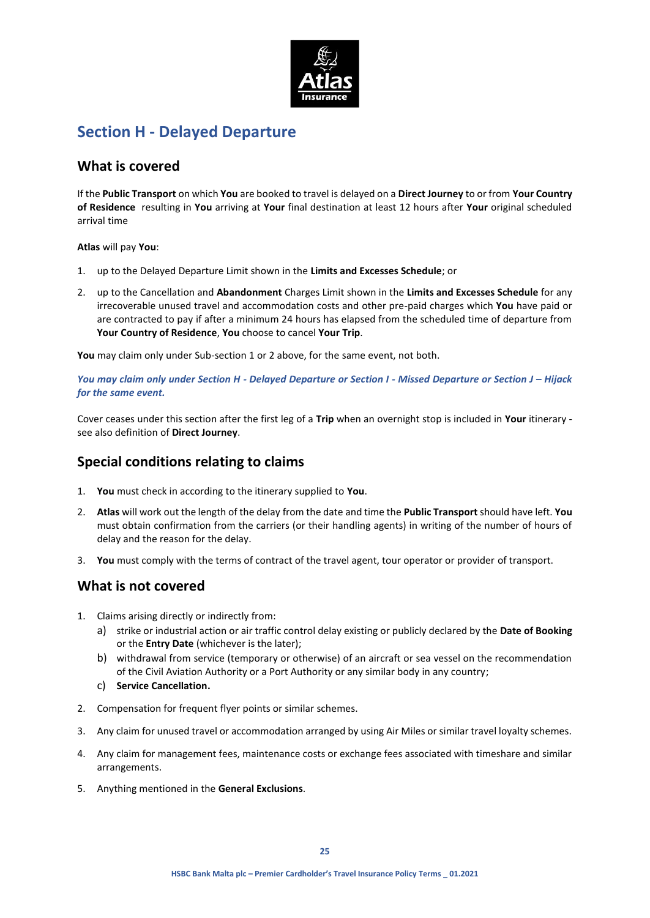

# **Section H - Delayed Departure**

## **What is covered**

If the **Public Transport** on which **You** are booked to travel is delayed on a **Direct Journey** to or from **Your Country of Residence** resulting in **You** arriving at **Your** final destination at least 12 hours after **Your** original scheduled arrival time

### **Atlas** will pay **You**:

- 1. up to the Delayed Departure Limit shown in the **Limits and Excesses Schedule**; or
- 2. up to the Cancellation and **Abandonment** Charges Limit shown in the **Limits and Excesses Schedule** for any irrecoverable unused travel and accommodation costs and other pre-paid charges which **You** have paid or are contracted to pay if after a minimum 24 hours has elapsed from the scheduled time of departure from **Your Country of Residence**, **You** choose to cancel **Your Trip**.

**You** may claim only under Sub-section 1 or 2 above, for the same event, not both.

*You may claim only under Section H - Delayed Departure or Section I - Missed Departure or Section J – Hijack for the same event.*

Cover ceases under this section after the first leg of a **Trip** when an overnight stop is included in **Your** itinerary see also definition of **Direct Journey**.

# **Special conditions relating to claims**

- 1. **You** must check in according to the itinerary supplied to **You**.
- 2. **Atlas** will work out the length of the delay from the date and time the **Public Transport** should have left. **You** must obtain confirmation from the carriers (or their handling agents) in writing of the number of hours of delay and the reason for the delay.
- 3. **You** must comply with the terms of contract of the travel agent, tour operator or provider of transport.

## **What is not covered**

- 1. Claims arising directly or indirectly from:
	- a) strike or industrial action or air traffic control delay existing or publicly declared by the **Date of Booking** or the **Entry Date** (whichever is the later);
	- b) withdrawal from service (temporary or otherwise) of an aircraft or sea vessel on the recommendation of the Civil Aviation Authority or a Port Authority or any similar body in any country;
	- c) **Service Cancellation.**
- 2. Compensation for frequent flyer points or similar schemes.
- 3. Any claim for unused travel or accommodation arranged by using Air Miles or similar travel loyalty schemes.
- 4. Any claim for management fees, maintenance costs or exchange fees associated with timeshare and similar arrangements.
- 5. Anything mentioned in the **General Exclusions**.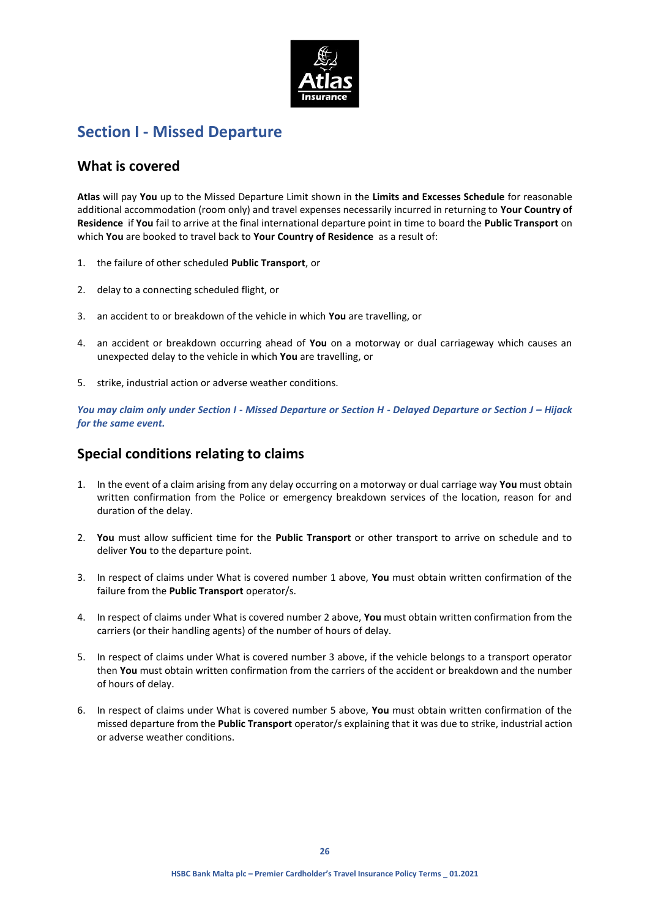

# **Section I - Missed Departure**

## **What is covered**

**Atlas** will pay **You** up to the Missed Departure Limit shown in the **Limits and Excesses Schedule** for reasonable additional accommodation (room only) and travel expenses necessarily incurred in returning to **Your Country of Residence** if **You** fail to arrive at the final international departure point in time to board the **Public Transport** on which **You** are booked to travel back to **Your Country of Residence** as a result of:

- 1. the failure of other scheduled **Public Transport**, or
- 2. delay to a connecting scheduled flight, or
- 3. an accident to or breakdown of the vehicle in which **You** are travelling, or
- 4. an accident or breakdown occurring ahead of **You** on a motorway or dual carriageway which causes an unexpected delay to the vehicle in which **You** are travelling, or
- 5. strike, industrial action or adverse weather conditions.

*You may claim only under Section I - Missed Departure or Section H - Delayed Departure or Section J – Hijack for the same event.*

# **Special conditions relating to claims**

- 1. In the event of a claim arising from any delay occurring on a motorway or dual carriage way **You** must obtain written confirmation from the Police or emergency breakdown services of the location, reason for and duration of the delay.
- 2. **You** must allow sufficient time for the **Public Transport** or other transport to arrive on schedule and to deliver **You** to the departure point.
- 3. In respect of claims under What is covered number 1 above, **You** must obtain written confirmation of the failure from the **Public Transport** operator/s.
- 4. In respect of claims under What is covered number 2 above, **You** must obtain written confirmation from the carriers (or their handling agents) of the number of hours of delay.
- 5. In respect of claims under What is covered number 3 above, if the vehicle belongs to a transport operator then **You** must obtain written confirmation from the carriers of the accident or breakdown and the number of hours of delay.
- 6. In respect of claims under What is covered number 5 above, **You** must obtain written confirmation of the missed departure from the **Public Transport** operator/s explaining that it was due to strike, industrial action or adverse weather conditions.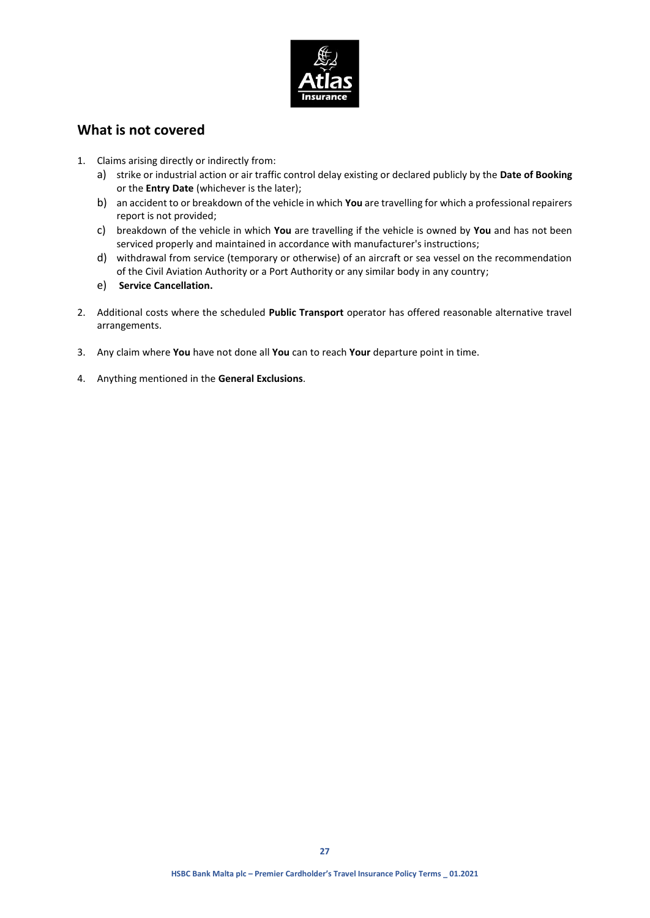

## **What is not covered**

- 1. Claims arising directly or indirectly from:
	- a) strike or industrial action or air traffic control delay existing or declared publicly by the **Date of Booking** or the **Entry Date** (whichever is the later);
	- b) an accident to or breakdown of the vehicle in which **You** are travelling for which a professional repairers report is not provided;
	- c) breakdown of the vehicle in which **You** are travelling if the vehicle is owned by **You** and has not been serviced properly and maintained in accordance with manufacturer's instructions;
	- d) withdrawal from service (temporary or otherwise) of an aircraft or sea vessel on the recommendation of the Civil Aviation Authority or a Port Authority or any similar body in any country;
	- e) **Service Cancellation.**
- 2. Additional costs where the scheduled **Public Transport** operator has offered reasonable alternative travel arrangements.
- 3. Any claim where **You** have not done all **You** can to reach **Your** departure point in time.
- 4. Anything mentioned in the **General Exclusions**.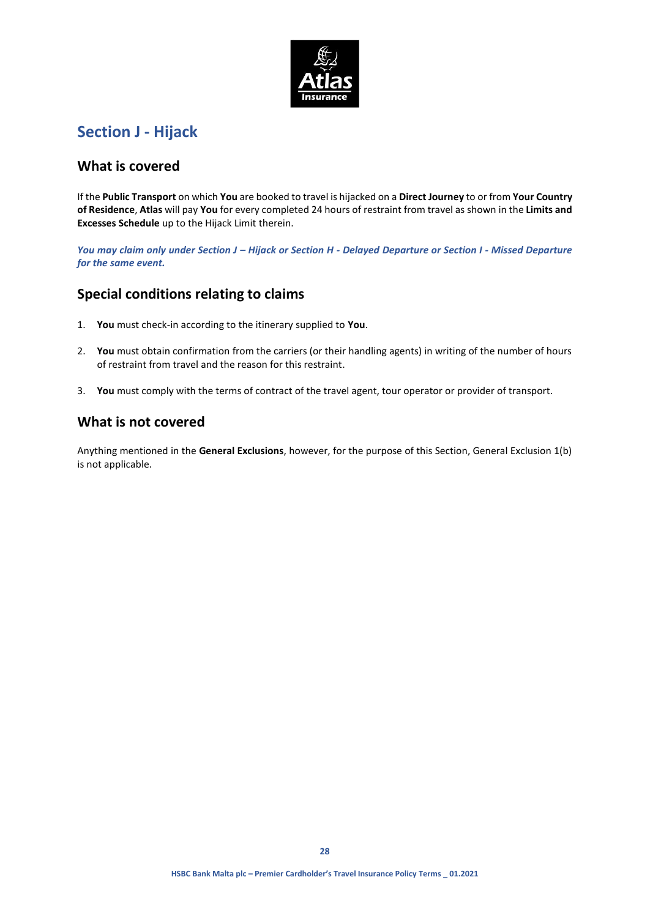

# **Section J - Hijack**

## **What is covered**

If the **Public Transport** on which **You** are booked to travel is hijacked on a **Direct Journey** to or from **Your Country of Residence**, **Atlas** will pay **You** for every completed 24 hours of restraint from travel as shown in the **Limits and Excesses Schedule** up to the Hijack Limit therein.

*You may claim only under Section J – Hijack or Section H - Delayed Departure or Section I - Missed Departure for the same event.*

# **Special conditions relating to claims**

- 1. **You** must check-in according to the itinerary supplied to **You**.
- 2. **You** must obtain confirmation from the carriers (or their handling agents) in writing of the number of hours of restraint from travel and the reason for this restraint.
- 3. **You** must comply with the terms of contract of the travel agent, tour operator or provider of transport.

## **What is not covered**

Anything mentioned in the **General Exclusions**, however, for the purpose of this Section, General Exclusion 1(b) is not applicable.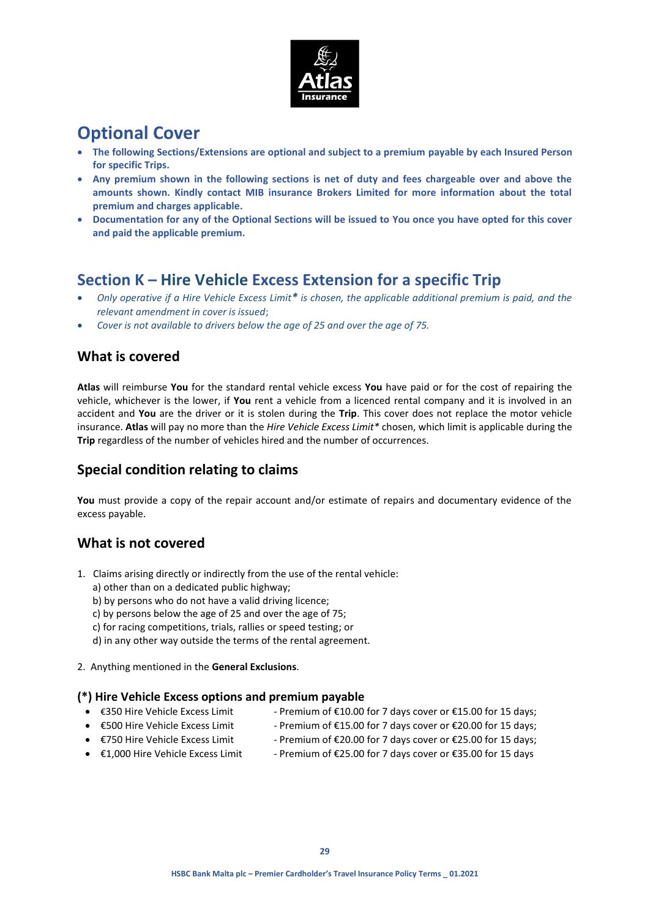

# **Optional Cover**

- **The following Sections/Extensions are optional and subject to a premium payable by each Insured Person for specific Trips.**
- **Any premium shown in the following sections is net of duty and fees chargeable over and above the amounts shown. Kindly contact MIB insurance Brokers Limited for more information about the total premium and charges applicable.**
- **Documentation for any of the Optional Sections will be issued to You once you have opted for this cover and paid the applicable premium.**

# **Section K – Hire Vehicle Excess Extension for a specific Trip**

- *Only operative if a Hire Vehicle Excess Limit\* is chosen, the applicable additional premium is paid, and the relevant amendment in cover is issued*;
- *Cover is not available to drivers below the age of 25 and over the age of 75.*

## **What is covered**

**Atlas** will reimburse **You** for the standard rental vehicle excess **You** have paid or for the cost of repairing the vehicle, whichever is the lower, if **You** rent a vehicle from a licenced rental company and it is involved in an accident and **You** are the driver or it is stolen during the **Trip**. This cover does not replace the motor vehicle insurance. **Atlas** will pay no more than the *Hire Vehicle Excess Limit\** chosen, which limit is applicable during the **Trip** regardless of the number of vehicles hired and the number of occurrences.

# **Special condition relating to claims**

You must provide a copy of the repair account and/or estimate of repairs and documentary evidence of the excess payable.

# **What is not covered**

- 1. Claims arising directly or indirectly from the use of the rental vehicle:
	- a) other than on a dedicated public highway;
	- b) by persons who do not have a valid driving licence;
	- c) by persons below the age of 25 and over the age of 75;
	- c) for racing competitions, trials, rallies or speed testing; or
	- d) in any other way outside the terms of the rental agreement.
- 2. Anything mentioned in the **General Exclusions**.

## **(\*) Hire Vehicle Excess options and premium payable**

- 
- €350 Hire Vehicle Excess Limit Premium of €10.00 for 7 days cover or €15.00 for 15 days;
- 
- 
- $€500$  Hire Vehicle Excess Limit Premium of  $€15.00$  for 7 days cover or  $€20.00$  for 15 days;
	-
- €750 Hire Vehicle Excess Limit Premium of €20.00 for 7 days cover or €25.00 for 15 days;
- €1,000 Hire Vehicle Excess Limit Premium of €25.00 for 7 days cover or €35.00 for 15 days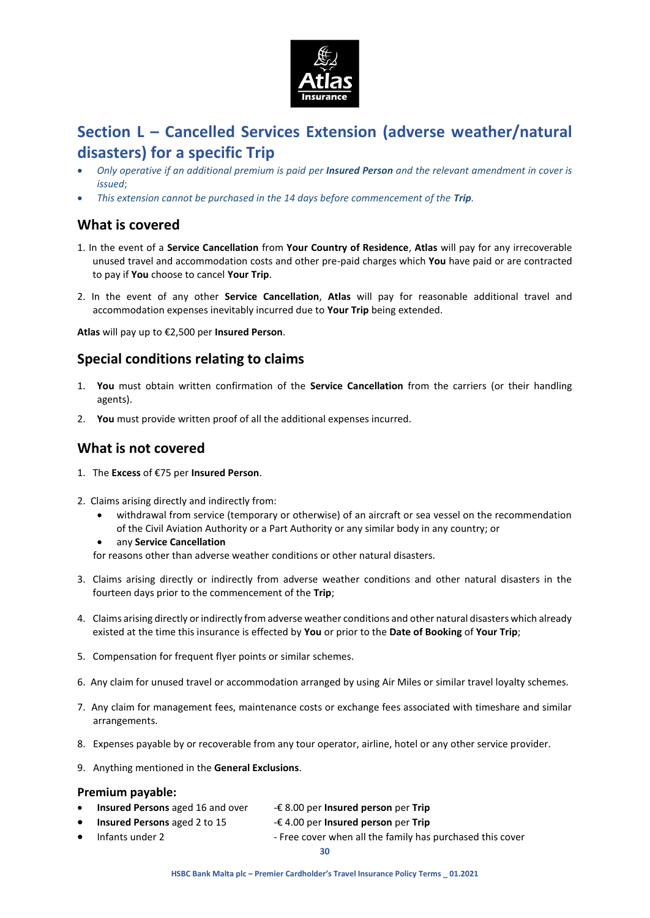

# **Section L – Cancelled Services Extension (adverse weather/natural disasters) for a specific Trip**

- *Only operative if an additional premium is paid per Insured Person and the relevant amendment in cover is issued*;
- *This extension cannot be purchased in the 14 days before commencement of the Trip.*

## **What is covered**

- 1. In the event of a **Service Cancellation** from **Your Country of Residence**, **Atlas** will pay for any irrecoverable unused travel and accommodation costs and other pre-paid charges which **You** have paid or are contracted to pay if **You** choose to cancel **Your Trip**.
- 2. In the event of any other **Service Cancellation**, **Atlas** will pay for reasonable additional travel and accommodation expenses inevitably incurred due to **Your Trip** being extended.

**Atlas** will pay up to €2,500 per **Insured Person**.

# **Special conditions relating to claims**

- 1. **You** must obtain written confirmation of the **Service Cancellation** from the carriers (or their handling agents).
- 2. **You** must provide written proof of all the additional expenses incurred.

## **What is not covered**

- 1. The **Excess** of €75 per **Insured Person**.
- 2. Claims arising directly and indirectly from:
	- withdrawal from service (temporary or otherwise) of an aircraft or sea vessel on the recommendation of the Civil Aviation Authority or a Part Authority or any similar body in any country; or
	- any **Service Cancellation**

for reasons other than adverse weather conditions or other natural disasters.

- 3. Claims arising directly or indirectly from adverse weather conditions and other natural disasters in the fourteen days prior to the commencement of the **Trip**;
- 4. Claims arising directly or indirectly from adverse weather conditions and other natural disasters which already existed at the time this insurance is effected by **You** or prior to the **Date of Booking** of **Your Trip**;
- 5. Compensation for frequent flyer points or similar schemes.
- 6. Any claim for unused travel or accommodation arranged by using Air Miles or similar travel loyalty schemes.
- 7. Any claim for management fees, maintenance costs or exchange fees associated with timeshare and similar arrangements.
- 8. Expenses payable by or recoverable from any tour operator, airline, hotel or any other service provider.
- 9. Anything mentioned in the **General Exclusions**.

## **Premium payable:**

- **Insured Persons** aged 16 and over -€ 8.00 per **Insured person** per **Trip**
	- **Insured Persons** aged 2 to 15 -€ 4.00 per **Insured person** per **Trip**
- Infants under 2 Free cover when all the family has purchased this cover

**30**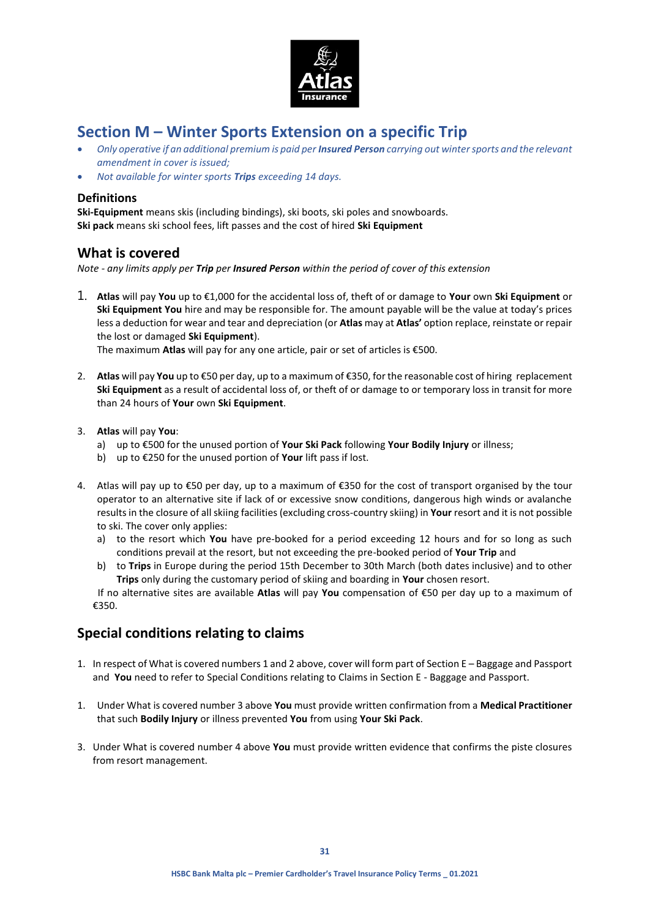

# **Section M – Winter Sports Extension on a specific Trip**

- *Only operative if an additional premium is paid per Insured Person carrying out winter sports and the relevant amendment in cover is issued;*
- *Not available for winter sports Trips exceeding 14 days.*

## **Definitions**

**Ski-Equipment** means skis (including bindings), ski boots, ski poles and snowboards. **Ski pack** means ski school fees, lift passes and the cost of hired **Ski Equipment**

## **What is covered**

*Note - any limits apply per Trip per Insured Person within the period of cover of this extension*

1. **Atlas** will pay **You** up to €1,000 for the accidental loss of, theft of or damage to **Your** own **Ski Equipment** or **Ski Equipment You** hire and may be responsible for. The amount payable will be the value at today's prices less a deduction for wear and tear and depreciation (or **Atlas** may at **Atlas'** option replace, reinstate or repair the lost or damaged **Ski Equipment**).

The maximum **Atlas** will pay for any one article, pair or set of articles is €500.

- 2. **Atlas** will pay **You** up to €50 per day, up to a maximum of €350, for the reasonable cost of hiring replacement **Ski Equipment** as a result of accidental loss of, or theft of or damage to or temporary loss in transit for more than 24 hours of **Your** own **Ski Equipment**.
- 3. **Atlas** will pay **You**:
	- a) up to €500 for the unused portion of **Your Ski Pack** following **Your Bodily Injury** or illness;
	- b) up to €250 for the unused portion of **Your** lift pass if lost.
- 4. Atlas will pay up to €50 per day, up to a maximum of €350 for the cost of transport organised by the tour operator to an alternative site if lack of or excessive snow conditions, dangerous high winds or avalanche results in the closure of all skiing facilities (excluding cross-country skiing) in **Your** resort and it is not possible to ski. The cover only applies:
	- a) to the resort which **You** have pre-booked for a period exceeding 12 hours and for so long as such conditions prevail at the resort, but not exceeding the pre-booked period of **Your Trip** and
	- b) to **Trips** in Europe during the period 15th December to 30th March (both dates inclusive) and to other **Trips** only during the customary period of skiing and boarding in **Your** chosen resort.

If no alternative sites are available **Atlas** will pay **You** compensation of €50 per day up to a maximum of €350.

# **Special conditions relating to claims**

- 1. In respect of What is covered numbers 1 and 2 above, cover will form part of Section E Baggage and Passport and **You** need to refer to Special Conditions relating to Claims in Section E - Baggage and Passport.
- 1. Under What is covered number 3 above **You** must provide written confirmation from a **Medical Practitioner**  that such **Bodily Injury** or illness prevented **You** from using **Your Ski Pack**.
- 3. Under What is covered number 4 above **You** must provide written evidence that confirms the piste closures from resort management.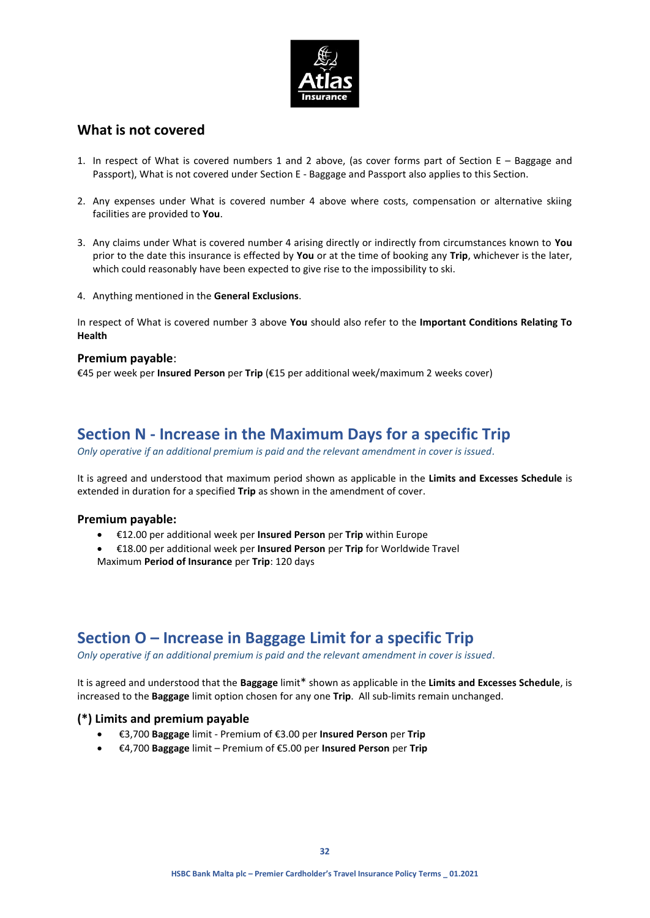

## **What is not covered**

- 1. In respect of What is covered numbers 1 and 2 above, (as cover forms part of Section E Baggage and Passport), What is not covered under Section E - Baggage and Passport also applies to this Section.
- 2. Any expenses under What is covered number 4 above where costs, compensation or alternative skiing facilities are provided to **You**.
- 3. Any claims under What is covered number 4 arising directly or indirectly from circumstances known to **You**  prior to the date this insurance is effected by **You** or at the time of booking any **Trip**, whichever is the later, which could reasonably have been expected to give rise to the impossibility to ski.
- 4. Anything mentioned in the **General Exclusions**.

In respect of What is covered number 3 above **You** should also refer to the **Important Conditions Relating To Health**

### **Premium payable**:

€45 per week per **Insured Person** per **Trip** (€15 per additional week/maximum 2 weeks cover)

# **Section N - Increase in the Maximum Days for a specific Trip**

*Only operative if an additional premium is paid and the relevant amendment in cover is issued.*

It is agreed and understood that maximum period shown as applicable in the **Limits and Excesses Schedule** is extended in duration for a specified **Trip** as shown in the amendment of cover.

### **Premium payable:**

- €12.00 per additional week per **Insured Person** per **Trip** within Europe
- €18.00 per additional week per **Insured Person** per **Trip** for Worldwide Travel Maximum **Period of Insurance** per **Trip**: 120 days

# **Section O – Increase in Baggage Limit for a specific Trip**

*Only operative if an additional premium is paid and the relevant amendment in cover is issued*.

It is agreed and understood that the **Baggage** limit\* shown as applicable in the **Limits and Excesses Schedule**, is increased to the **Baggage** limit option chosen for any one **Trip**.All sub-limits remain unchanged.

## **(\*) Limits and premium payable**

- €3,700 **Baggage** limit Premium of €3.00 per **Insured Person** per **Trip**
- €4,700 **Baggage** limit Premium of €5.00 per **Insured Person** per **Trip**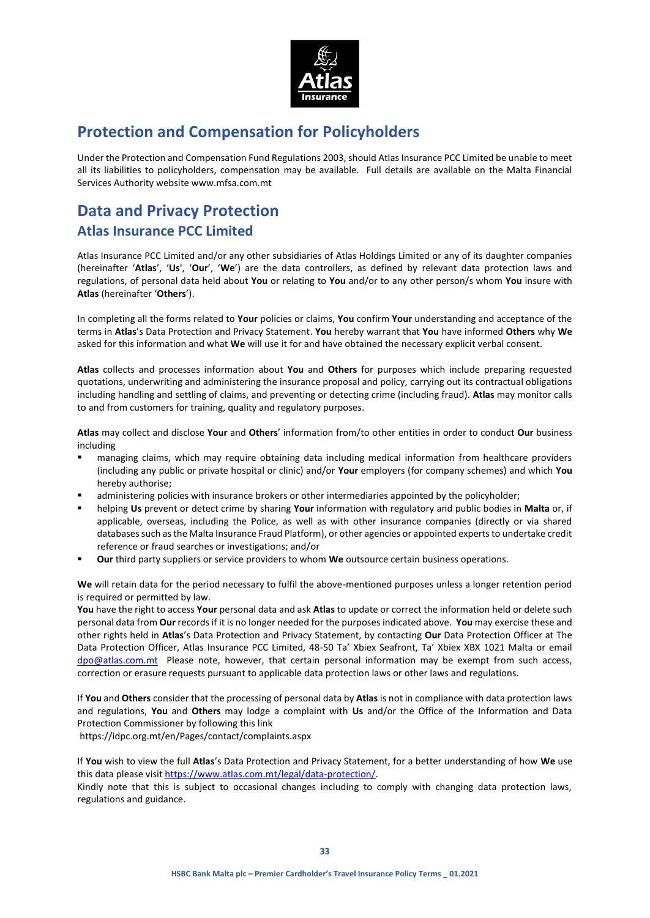

# **Protection and Compensation for Policyholders**

Under the Protection and Compensation Fund Regulations 2003, should Atlas Insurance PCC Limited be unable to meet all its liabilities to policyholders, compensation may be available. Full details are available on the Malta Financial Services Authority website www.mfsa.com.mt

# **Data and Privacy Protection Atlas Insurance PCC Limited**

Atlas Insurance PCC Limited and/or any other subsidiaries of Atlas Holdings Limited or any of its daughter companies (hereinafter '**Atlas**', '**Us**', '**Our**', '**We**') are the data controllers, as defined by relevant data protection laws and regulations, of personal data held about **You** or relating to **You** and/or to any other person/s whom **You** insure with **Atlas** (hereinafter '**Others**').

In completing all the forms related to **Your** policies or claims, **You** confirm **Your** understanding and acceptance of the terms in **Atlas**'s Data Protection and Privacy Statement. **You** hereby warrant that **You** have informed **Others** why **We** asked for this information and what **We** will use it for and have obtained the necessary explicit verbal consent.

**Atlas** collects and processes information about **You** and **Others** for purposes which include preparing requested quotations, underwriting and administering the insurance proposal and policy, carrying out its contractual obligations including handling and settling of claims, and preventing or detecting crime (including fraud). **Atlas** may monitor calls to and from customers for training, quality and regulatory purposes.

**Atlas** may collect and disclose **Your** and **Others**' information from/to other entities in order to conduct **Our** business including

- managing claims, which may require obtaining data including medical information from healthcare providers (including any public or private hospital or clinic) and/or **Your** employers (for company schemes) and which **You** hereby authorise;
- administering policies with insurance brokers or other intermediaries appointed by the policyholder;
- helping **Us** prevent or detect crime by sharing **Your** information with regulatory and public bodies in **Malta** or, if applicable, overseas, including the Police, as well as with other insurance companies (directly or via shared databases such as the Malta Insurance Fraud Platform), or other agencies or appointed experts to undertake credit reference or fraud searches or investigations; and/or
- **Our** third party suppliers or service providers to whom **We** outsource certain business operations.

**We** will retain data for the period necessary to fulfil the above-mentioned purposes unless a longer retention period is required or permitted by law.

**You** have the right to access **Your** personal data and ask **Atlas** to update or correct the information held or delete such personal data from **Our** records if it is no longer needed for the purposes indicated above. **You** may exercise these and other rights held in **Atlas**'s Data Protection and Privacy Statement, by contacting **Our** Data Protection Officer at The Data Protection Officer, Atlas Insurance PCC Limited, 48-50 Ta' Xbiex Seafront, Ta' Xbiex XBX 1021 Malta or email [dpo@atlas.com.mt](mailto:dpo@atlas.com.mt) Please note, however, that certain personal information may be exempt from such access, correction or erasure requests pursuant to applicable data protection laws or other laws and regulations.

If **You** and **Others** consider that the processing of personal data by **Atlas** is not in compliance with data protection laws and regulations, **You** and **Others** may lodge a complaint with **Us** and/or the Office of the Information and Data Protection Commissioner by following this link

<https://idpc.org.mt/en/Pages/contact/complaints.aspx>

If **You** wish to view the full **Atlas**'s Data Protection and Privacy Statement, for a better understanding of how **We** use this data please visi[t https://www.atlas.com.mt/legal/data-protection/.](https://www.atlas.com.mt/legal/data-protection/)

Kindly note that this is subject to occasional changes including to comply with changing data protection laws, regulations and guidance.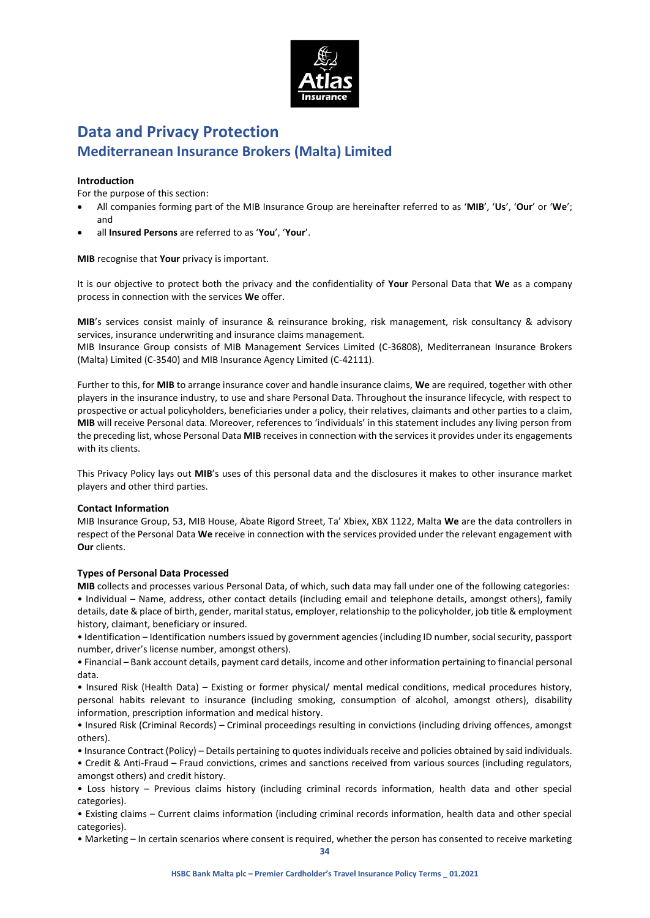

# **Data and Privacy Protection Mediterranean Insurance Brokers (Malta) Limited**

### **Introduction**

For the purpose of this section:

- All companies forming part of the MIB Insurance Group are hereinafter referred to as '**MIB**', '**Us**', '**Our**' or '**We**'; and
- all **Insured Persons** are referred to as '**You**', '**Your**'.

**MIB** recognise that **Your** privacy is important.

It is our objective to protect both the privacy and the confidentiality of **Your** Personal Data that **We** as a company process in connection with the services **We** offer.

**MIB**'s services consist mainly of insurance & reinsurance broking, risk management, risk consultancy & advisory services, insurance underwriting and insurance claims management.

MIB Insurance Group consists of MIB Management Services Limited (C-36808), Mediterranean Insurance Brokers (Malta) Limited (C-3540) and MIB Insurance Agency Limited (C-42111).

Further to this, for **MIB** to arrange insurance cover and handle insurance claims, **We** are required, together with other players in the insurance industry, to use and share Personal Data. Throughout the insurance lifecycle, with respect to prospective or actual policyholders, beneficiaries under a policy, their relatives, claimants and other parties to a claim, **MIB** will receive Personal data. Moreover, references to 'individuals' in this statement includes any living person from the preceding list, whose Personal Data **MIB** receives in connection with the services it provides under its engagements with its clients.

This Privacy Policy lays out **MIB**'s uses of this personal data and the disclosures it makes to other insurance market players and other third parties.

### **Contact Information**

MIB Insurance Group, 53, MIB House, Abate Rigord Street, Ta' Xbiex, XBX 1122, Malta **We** are the data controllers in respect of the Personal Data **We** receive in connection with the services provided under the relevant engagement with **Our** clients.

### **Types of Personal Data Processed**

**MIB** collects and processes various Personal Data, of which, such data may fall under one of the following categories: • Individual – Name, address, other contact details (including email and telephone details, amongst others), family details, date & place of birth, gender, marital status, employer, relationship to the policyholder, job title & employment history, claimant, beneficiary or insured.

• Identification – Identification numbers issued by government agencies (including ID number, social security, passport number, driver's license number, amongst others).

• Financial – Bank account details, payment card details, income and other information pertaining to financial personal data.

• Insured Risk (Health Data) – Existing or former physical/ mental medical conditions, medical procedures history, personal habits relevant to insurance (including smoking, consumption of alcohol, amongst others), disability information, prescription information and medical history.

• Insured Risk (Criminal Records) – Criminal proceedings resulting in convictions (including driving offences, amongst others).

• Insurance Contract (Policy) – Details pertaining to quotes individuals receive and policies obtained by said individuals. • Credit & Anti-Fraud – Fraud convictions, crimes and sanctions received from various sources (including regulators,

amongst others) and credit history. • Loss history – Previous claims history (including criminal records information, health data and other special categories).

• Existing claims – Current claims information (including criminal records information, health data and other special categories).

• Marketing – In certain scenarios where consent is required, whether the person has consented to receive marketing

**34**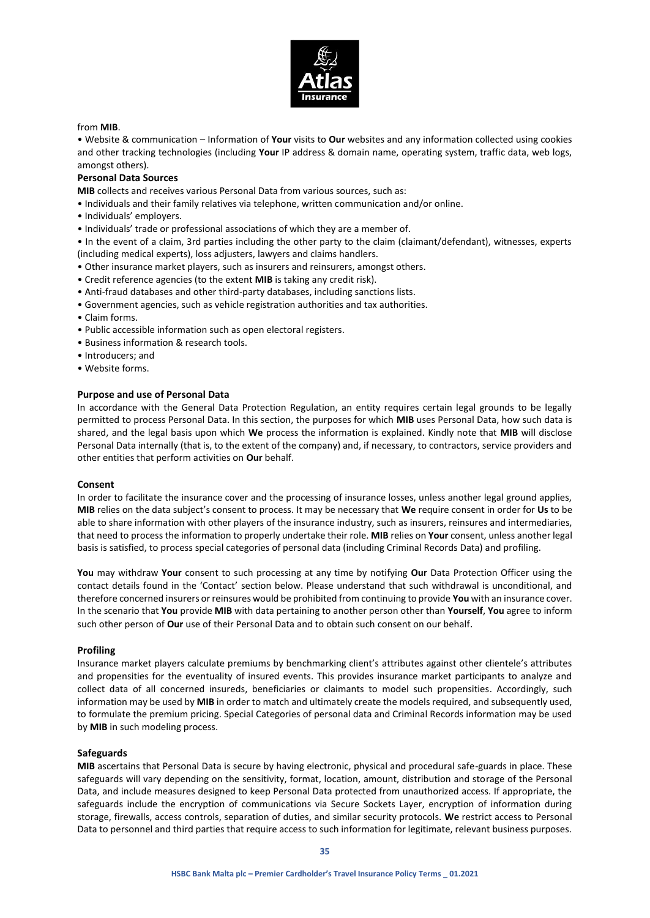

#### from **MIB**.

• Website & communication – Information of **Your** visits to **Our** websites and any information collected using cookies and other tracking technologies (including **Your** IP address & domain name, operating system, traffic data, web logs, amongst others).

### **Personal Data Sources**

**MIB** collects and receives various Personal Data from various sources, such as:

- Individuals and their family relatives via telephone, written communication and/or online.
- Individuals' employers.
- Individuals' trade or professional associations of which they are a member of.

• In the event of a claim, 3rd parties including the other party to the claim (claimant/defendant), witnesses, experts (including medical experts), loss adjusters, lawyers and claims handlers.

- Other insurance market players, such as insurers and reinsurers, amongst others.
- Credit reference agencies (to the extent **MIB** is taking any credit risk).
- Anti-fraud databases and other third-party databases, including sanctions lists.
- Government agencies, such as vehicle registration authorities and tax authorities.
- Claim forms.
- Public accessible information such as open electoral registers.
- Business information & research tools.
- Introducers; and
- Website forms.

#### **Purpose and use of Personal Data**

In accordance with the General Data Protection Regulation, an entity requires certain legal grounds to be legally permitted to process Personal Data. In this section, the purposes for which **MIB** uses Personal Data, how such data is shared, and the legal basis upon which **We** process the information is explained. Kindly note that **MIB** will disclose Personal Data internally (that is, to the extent of the company) and, if necessary, to contractors, service providers and other entities that perform activities on **Our** behalf.

#### **Consent**

In order to facilitate the insurance cover and the processing of insurance losses, unless another legal ground applies, **MIB** relies on the data subject's consent to process. It may be necessary that **We** require consent in order for **Us** to be able to share information with other players of the insurance industry, such as insurers, reinsures and intermediaries, that need to process the information to properly undertake their role. **MIB** relies on **Your** consent, unless another legal basis is satisfied, to process special categories of personal data (including Criminal Records Data) and profiling.

**You** may withdraw **Your** consent to such processing at any time by notifying **Our** Data Protection Officer using the contact details found in the 'Contact' section below. Please understand that such withdrawal is unconditional, and therefore concerned insurers or reinsures would be prohibited from continuing to provide **You** with an insurance cover. In the scenario that **You** provide **MIB** with data pertaining to another person other than **Yourself**, **You** agree to inform such other person of **Our** use of their Personal Data and to obtain such consent on our behalf.

#### **Profiling**

Insurance market players calculate premiums by benchmarking client's attributes against other clientele's attributes and propensities for the eventuality of insured events. This provides insurance market participants to analyze and collect data of all concerned insureds, beneficiaries or claimants to model such propensities. Accordingly, such information may be used by **MIB** in order to match and ultimately create the models required, and subsequently used, to formulate the premium pricing. Special Categories of personal data and Criminal Records information may be used by **MIB** in such modeling process.

#### **Safeguards**

**MIB** ascertains that Personal Data is secure by having electronic, physical and procedural safe-guards in place. These safeguards will vary depending on the sensitivity, format, location, amount, distribution and storage of the Personal Data, and include measures designed to keep Personal Data protected from unauthorized access. If appropriate, the safeguards include the encryption of communications via Secure Sockets Layer, encryption of information during storage, firewalls, access controls, separation of duties, and similar security protocols. **We** restrict access to Personal Data to personnel and third parties that require access to such information for legitimate, relevant business purposes.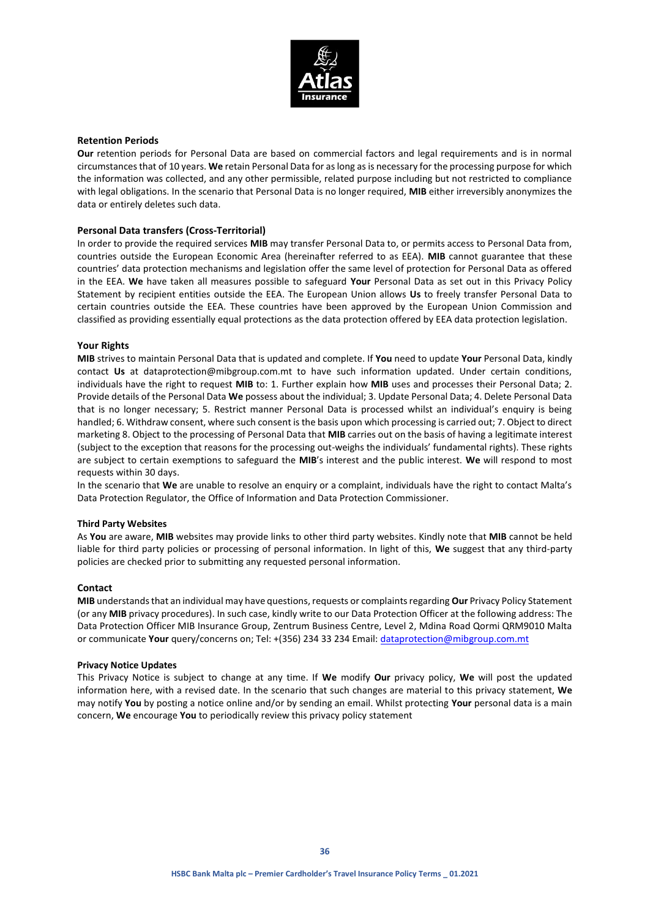

### **Retention Periods**

**Our** retention periods for Personal Data are based on commercial factors and legal requirements and is in normal circumstances that of 10 years. **We** retain Personal Data for as long as is necessary for the processing purpose for which the information was collected, and any other permissible, related purpose including but not restricted to compliance with legal obligations. In the scenario that Personal Data is no longer required, **MIB** either irreversibly anonymizes the data or entirely deletes such data.

### **Personal Data transfers (Cross-Territorial)**

In order to provide the required services **MIB** may transfer Personal Data to, or permits access to Personal Data from, countries outside the European Economic Area (hereinafter referred to as EEA). **MIB** cannot guarantee that these countries' data protection mechanisms and legislation offer the same level of protection for Personal Data as offered in the EEA. **We** have taken all measures possible to safeguard **Your** Personal Data as set out in this Privacy Policy Statement by recipient entities outside the EEA. The European Union allows **Us** to freely transfer Personal Data to certain countries outside the EEA. These countries have been approved by the European Union Commission and classified as providing essentially equal protections as the data protection offered by EEA data protection legislation.

### **Your Rights**

**MIB** strives to maintain Personal Data that is updated and complete. If **You** need to update **Your** Personal Data, kindly contact **Us** at dataprotection@mibgroup.com.mt to have such information updated. Under certain conditions, individuals have the right to request **MIB** to: 1. Further explain how **MIB** uses and processes their Personal Data; 2. Provide details of the Personal Data **We** possess about the individual; 3. Update Personal Data; 4. Delete Personal Data that is no longer necessary; 5. Restrict manner Personal Data is processed whilst an individual's enquiry is being handled; 6. Withdraw consent, where such consent is the basis upon which processing is carried out; 7. Object to direct marketing 8. Object to the processing of Personal Data that **MIB** carries out on the basis of having a legitimate interest (subject to the exception that reasons for the processing out-weighs the individuals' fundamental rights). These rights are subject to certain exemptions to safeguard the **MIB**'s interest and the public interest. **We** will respond to most requests within 30 days.

In the scenario that **We** are unable to resolve an enquiry or a complaint, individuals have the right to contact Malta's Data Protection Regulator, the Office of Information and Data Protection Commissioner.

### **Third Party Websites**

As **You** are aware, **MIB** websites may provide links to other third party websites. Kindly note that **MIB** cannot be held liable for third party policies or processing of personal information. In light of this, **We** suggest that any third-party policies are checked prior to submitting any requested personal information.

### **Contact**

**MIB** understands that an individual may have questions, requests or complaints regarding **Our** Privacy Policy Statement (or any **MIB** privacy procedures). In such case, kindly write to our Data Protection Officer at the following address: The Data Protection Officer MIB Insurance Group, Zentrum Business Centre, Level 2, Mdina Road Qormi QRM9010 Malta or communicate **Your** query/concerns on; Tel: +(356) 234 33 234 Email[: dataprotection@mibgroup.com.mt](mailto:dataprotection@mibgroup.com.mt)

### **Privacy Notice Updates**

This Privacy Notice is subject to change at any time. If **We** modify **Our** privacy policy, **We** will post the updated information here, with a revised date. In the scenario that such changes are material to this privacy statement, **We** may notify **You** by posting a notice online and/or by sending an email. Whilst protecting **Your** personal data is a main concern, **We** encourage **You** to periodically review this privacy policy statement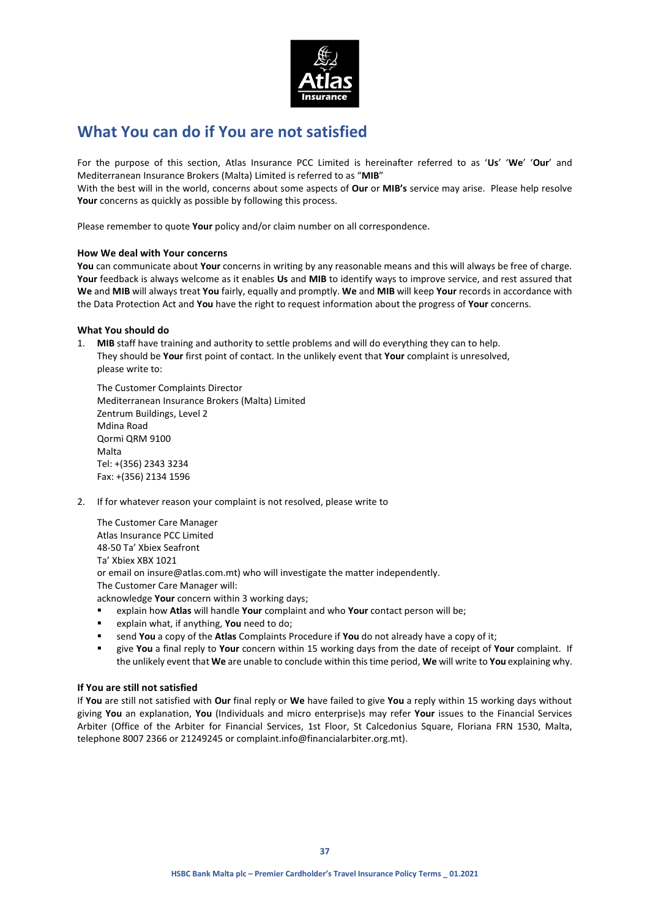

# **What You can do if You are not satisfied**

For the purpose of this section, Atlas Insurance PCC Limited is hereinafter referred to as '**Us**' '**We**' '**Our**' and Mediterranean Insurance Brokers (Malta) Limited is referred to as "**MIB**"

With the best will in the world, concerns about some aspects of **Our** or **MIB's** service may arise. Please help resolve Your concerns as quickly as possible by following this process.

Please remember to quote **Your** policy and/or claim number on all correspondence.

### **How We deal with Your concerns**

**You** can communicate about **Your** concerns in writing by any reasonable means and this will always be free of charge. **Your** feedback is always welcome as it enables **Us** and **MIB** to identify ways to improve service, and rest assured that **We** and **MIB** will always treat **You** fairly, equally and promptly. **We** and **MIB** will keep **Your** records in accordance with the Data Protection Act and **You** have the right to request information about the progress of **Your** concerns.

### **What You should do**

1. **MIB** staff have training and authority to settle problems and will do everything they can to help. They should be **Your** first point of contact. In the unlikely event that **Your** complaint is unresolved, please write to:

The Customer Complaints Director Mediterranean Insurance Brokers (Malta) Limited Zentrum Buildings, Level 2 Mdina Road Qormi QRM 9100 Malta Tel: +(356) 2343 3234 Fax: +(356) 2134 1596

2. If for whatever reason your complaint is not resolved, please write to

The Customer Care Manager Atlas Insurance PCC Limited 48-50 Ta' Xbiex Seafront Ta' Xbiex XBX 1021 or email on insure@atlas.com.mt) who will investigate the matter independently. The Customer Care Manager will: acknowledge **Your** concern within 3 working days;

- explain how **Atlas** will handle **Your** complaint and who **Your** contact person will be;
- explain what, if anything, **You** need to do;
- send **You** a copy of the **Atlas** Complaints Procedure if **You** do not already have a copy of it;
- give **You** a final reply to **Your** concern within 15 working days from the date of receipt of **Your** complaint. If the unlikely event that **We** are unable to conclude within this time period, **We** will write to **You** explaining why.

### **If You are still not satisfied**

If **You** are still not satisfied with **Our** final reply or **We** have failed to give **You** a reply within 15 working days without giving **You** an explanation, **You** (Individuals and micro enterprise)s may refer **Your** issues to the Financial Services Arbiter (Office of the Arbiter for Financial Services, 1st Floor, St Calcedonius Square, Floriana FRN 1530, Malta, telephone 8007 2366 or 21249245 or complaint.info@financialarbiter.org.mt).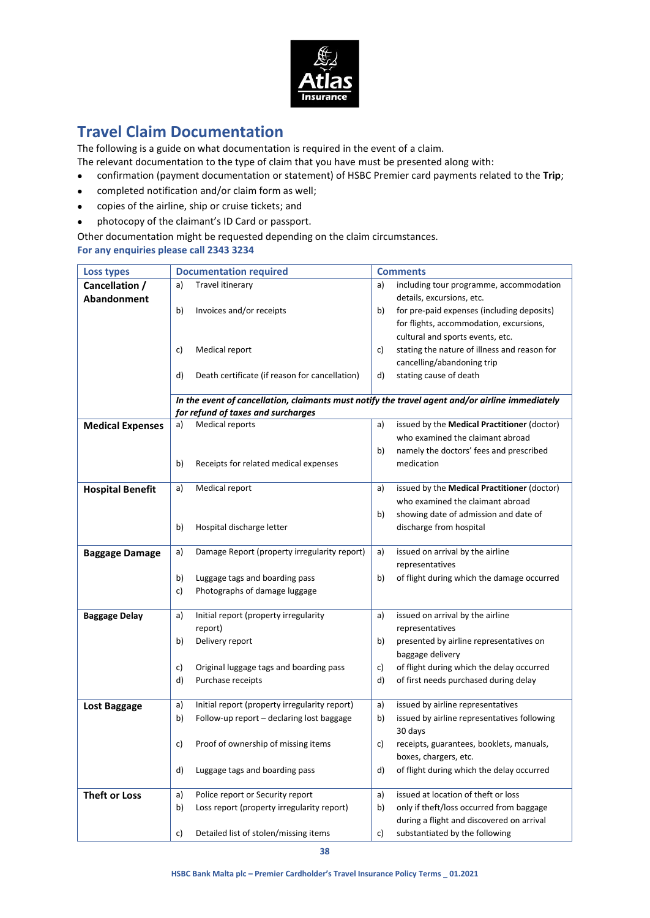

# **Travel Claim Documentation**

The following is a guide on what documentation is required in the event of a claim.

The relevant documentation to the type of claim that you have must be presented along with:

- confirmation (payment documentation or statement) of HSBC Premier card payments related to the **Trip**;
- completed notification and/or claim form as well;
- copies of the airline, ship or cruise tickets; and
- photocopy of the claimant's ID Card or passport.

Other documentation might be requested depending on the claim circumstances. **For any enquiries please call 2343 3234**

| <b>Loss types</b>       | <b>Documentation required</b>                                                                   | <b>Comments</b>                                    |
|-------------------------|-------------------------------------------------------------------------------------------------|----------------------------------------------------|
| Cancellation /          | Travel itinerary<br>a)                                                                          | including tour programme, accommodation<br>a)      |
| Abandonment             |                                                                                                 | details, excursions, etc.                          |
|                         | b)<br>Invoices and/or receipts                                                                  | for pre-paid expenses (including deposits)<br>b)   |
|                         |                                                                                                 | for flights, accommodation, excursions,            |
|                         |                                                                                                 | cultural and sports events, etc.                   |
|                         | Medical report<br>c)                                                                            | stating the nature of illness and reason for<br>C) |
|                         |                                                                                                 | cancelling/abandoning trip                         |
|                         | Death certificate (if reason for cancellation)<br>d)                                            | stating cause of death<br>d)                       |
|                         |                                                                                                 |                                                    |
|                         | In the event of cancellation, claimants must notify the travel agent and/or airline immediately |                                                    |
|                         | for refund of taxes and surcharges                                                              |                                                    |
| <b>Medical Expenses</b> | Medical reports<br>a)                                                                           | issued by the Medical Practitioner (doctor)<br>a)  |
|                         |                                                                                                 | who examined the claimant abroad                   |
|                         |                                                                                                 | namely the doctors' fees and prescribed<br>b)      |
|                         | b)<br>Receipts for related medical expenses                                                     | medication                                         |
|                         | Medical report<br>a)                                                                            | issued by the Medical Practitioner (doctor)<br>a)  |
| <b>Hospital Benefit</b> |                                                                                                 | who examined the claimant abroad                   |
|                         |                                                                                                 |                                                    |
|                         |                                                                                                 | showing date of admission and date of<br>b)        |
|                         | b)<br>Hospital discharge letter                                                                 | discharge from hospital                            |
| <b>Baggage Damage</b>   | Damage Report (property irregularity report)<br>a)                                              | issued on arrival by the airline<br>a)             |
|                         |                                                                                                 | representatives                                    |
|                         | b)<br>Luggage tags and boarding pass                                                            | b)<br>of flight during which the damage occurred   |
|                         | Photographs of damage luggage<br>c)                                                             |                                                    |
|                         |                                                                                                 |                                                    |
| <b>Baggage Delay</b>    | Initial report (property irregularity<br>a)                                                     | issued on arrival by the airline<br>a)             |
|                         | report)                                                                                         | representatives                                    |
|                         | b)<br>Delivery report                                                                           | presented by airline representatives on<br>b)      |
|                         |                                                                                                 | baggage delivery                                   |
|                         | Original luggage tags and boarding pass<br>C)                                                   | of flight during which the delay occurred<br>c)    |
|                         | d)<br>Purchase receipts                                                                         | d)<br>of first needs purchased during delay        |
|                         |                                                                                                 |                                                    |
| Lost Baggage            | Initial report (property irregularity report)<br>a)                                             | issued by airline representatives<br>a)            |
|                         | b)<br>Follow-up report - declaring lost baggage                                                 | issued by airline representatives following<br>b)  |
|                         |                                                                                                 | 30 days                                            |
|                         | Proof of ownership of missing items<br>c)                                                       | receipts, guarantees, booklets, manuals,<br>c)     |
|                         |                                                                                                 | boxes, chargers, etc.                              |
|                         | d)<br>Luggage tags and boarding pass                                                            | of flight during which the delay occurred<br>d)    |
| <b>Theft or Loss</b>    | Police report or Security report<br>a)                                                          | issued at location of theft or loss<br>a)          |
|                         | Loss report (property irregularity report)<br>b)                                                | only if theft/loss occurred from baggage<br>b)     |
|                         |                                                                                                 | during a flight and discovered on arrival          |
|                         | Detailed list of stolen/missing items<br>c)                                                     | substantiated by the following<br>c)               |